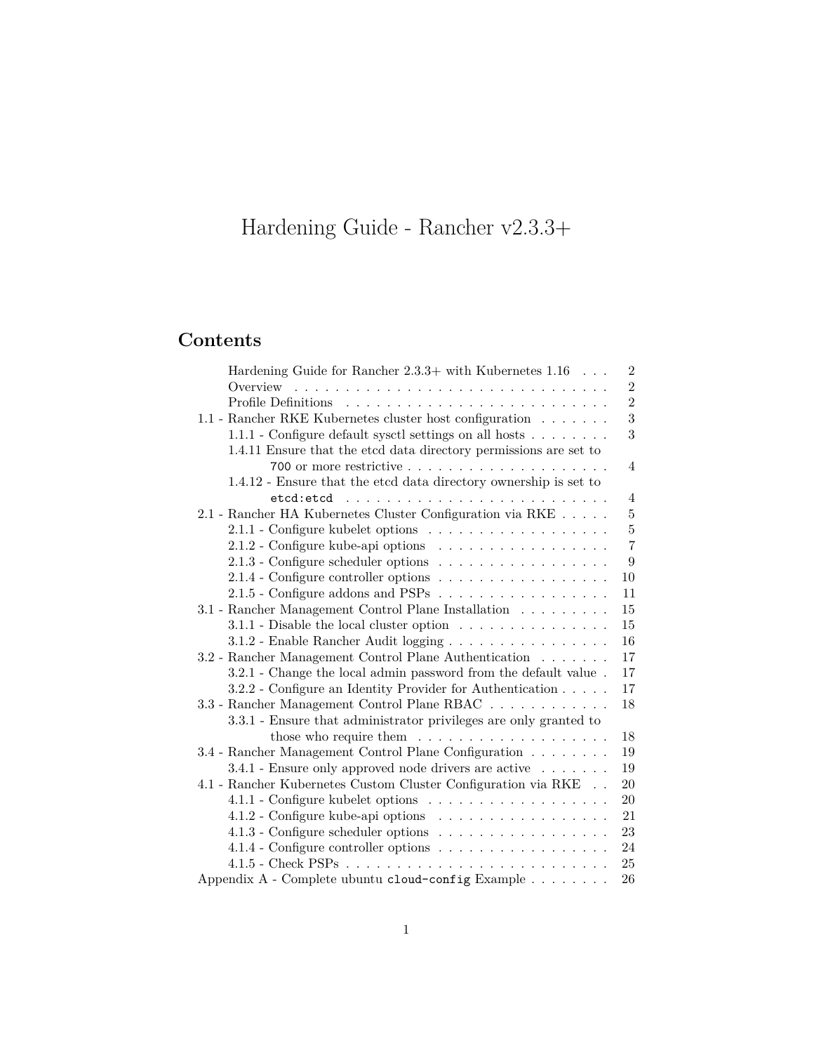# <span id="page-0-0"></span>Hardening Guide - Rancher v2.3.3+

## **Contents**

| Hardening Guide for Rancher $2.3.3+$ with Kubernetes $1.16 \ldots$               | $\overline{2}$ |
|----------------------------------------------------------------------------------|----------------|
|                                                                                  | $\overline{2}$ |
|                                                                                  | $\overline{2}$ |
| 1.1 - Rancher RKE Kubernetes cluster host configuration                          | 3              |
| $1.1.1$ - Configure default sysctl settings on all hosts $\ldots \ldots$         | 3              |
| 1.4.11 Ensure that the etcd data directory permissions are set to                |                |
|                                                                                  | $\overline{4}$ |
| 1.4.12 - Ensure that the etcd data directory ownership is set to                 |                |
|                                                                                  | $\overline{4}$ |
| 2.1 - Rancher HA Kubernetes Cluster Configuration via RKE                        | $\overline{5}$ |
| $2.1.1$ - Configure kubelet options $\ldots \ldots \ldots \ldots \ldots$         | $\overline{5}$ |
| 2.1.2 - Configure kube-api options                                               | $\overline{7}$ |
| 2.1.3 - Configure scheduler options                                              | 9              |
|                                                                                  | 10             |
| $2.1.5$ - Configure addons and PSPs                                              | 11             |
| 3.1 - Rancher Management Control Plane Installation                              | 15             |
| $3.1.1$ - Disable the local cluster option $\dots \dots \dots \dots \dots$       | 15             |
| 3.1.2 - Enable Rancher Audit logging                                             | $16\,$         |
| 3.2 - Rancher Management Control Plane Authentication                            | 17             |
| 3.2.1 - Change the local admin password from the default value.                  | 17             |
| 3.2.2 - Configure an Identity Provider for Authentication                        | 17             |
| 3.3 - Rancher Management Control Plane RBAC                                      | 18             |
| 3.3.1 - Ensure that administrator privileges are only granted to                 |                |
| those who require them $\dots \dots \dots \dots \dots \dots$                     | 18             |
| 3.4 - Rancher Management Control Plane Configuration                             | 19             |
| 3.4.1 - Ensure only approved node drivers are active                             | 19             |
| $4.1$ - Rancher Kubernetes Custom Cluster Configuration via $\mathrm{RKE}_\odot$ | 20             |
|                                                                                  | 20             |
| 4.1.2 - Configure kube-api options                                               | 21             |
| 4.1.3 - Configure scheduler options                                              | 23             |
| 4.1.4 - Configure controller options $\ldots \ldots \ldots \ldots \ldots \ldots$ | 24             |
|                                                                                  | 25             |
| Appendix $A$ - Complete ubuntu cloud-config Example                              | 26             |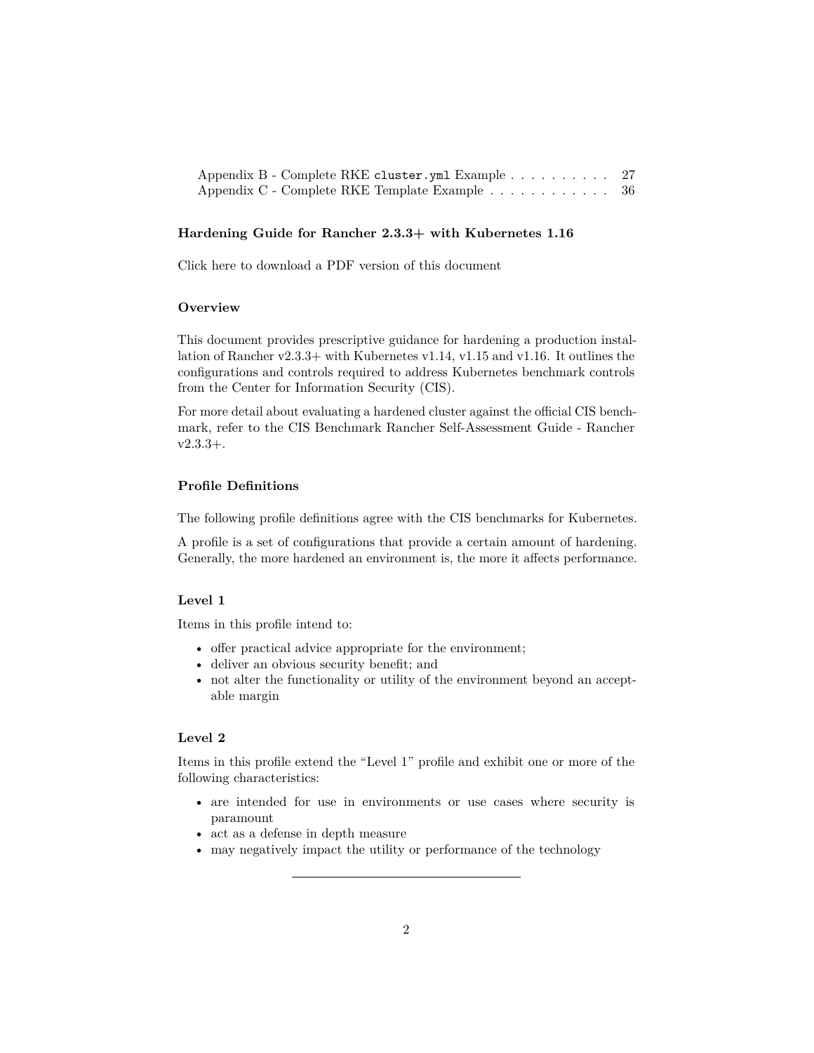| Appendix B - Complete RKE cluster.yml Example 27 |  |
|--------------------------------------------------|--|
| Appendix C - Complete RKE Template Example 36    |  |

### <span id="page-1-0"></span>**Hardening Guide for Rancher 2.3.3+ with Kubernetes 1.16**

[Click here to download a PDF version of this document](https://releases.rancher.com/documents/security/2.3.3/Rancher_Hardening_Guide.pdf)

#### <span id="page-1-1"></span>**Overview**

This document provides prescriptive guidance for hardening a production installation of Rancher v2.3.3+ with Kubernetes v1.14, v1.15 and v1.16. It outlines the configurations and controls required to address Kubernetes benchmark controls from the Center for Information Security (CIS).

For more detail about evaluating a hardened cluster against the official CIS benchmark, refer to the [CIS Benchmark Rancher Self-Assessment Guide - Rancher](#page-0-0) [v2.3.3+.](#page-0-0)

## <span id="page-1-2"></span>**Profile Definitions**

The following profile definitions agree with the CIS benchmarks for Kubernetes.

A profile is a set of configurations that provide a certain amount of hardening. Generally, the more hardened an environment is, the more it affects performance.

## **Level 1**

Items in this profile intend to:

- offer practical advice appropriate for the environment;
- deliver an obvious security benefit; and
- not alter the functionality or utility of the environment beyond an acceptable margin

## **Level 2**

Items in this profile extend the "Level 1" profile and exhibit one or more of the following characteristics:

- are intended for use in environments or use cases where security is paramount
- act as a defense in depth measure
- may negatively impact the utility or performance of the technology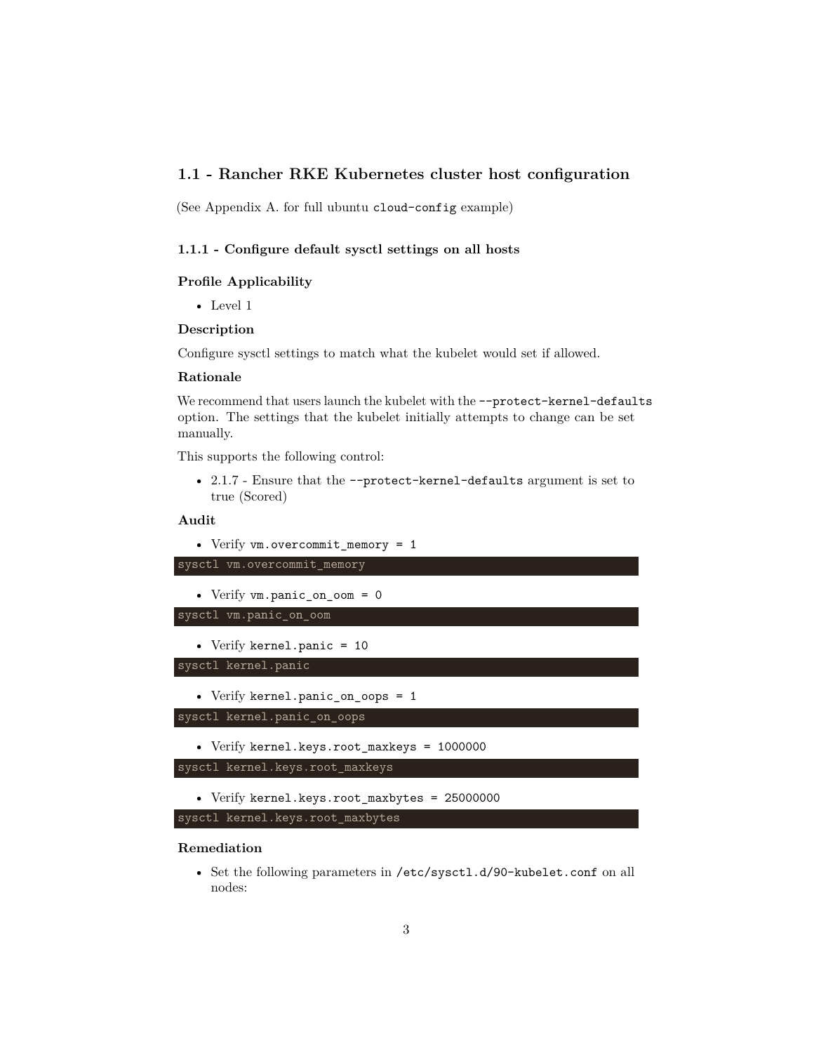## <span id="page-2-0"></span>**1.1 - Rancher RKE Kubernetes cluster host configuration**

(See Appendix A. for full ubuntu cloud-config example)

## <span id="page-2-1"></span>**1.1.1 - Configure default sysctl settings on all hosts**

### **Profile Applicability**

• Level 1

#### **Description**

Configure sysctl settings to match what the kubelet would set if allowed.

#### **Rationale**

We recommend that users launch the kubelet with the --protect-kernel-defaults option. The settings that the kubelet initially attempts to change can be set manually.

This supports the following control:

• 2.1.7 - Ensure that the --protect-kernel-defaults argument is set to true (Scored)

### **Audit**

```
• Verify vm.overcommit_memory = 1
sysctl vm.overcommit_memory
   • Verify vm.panic_on_oom = 0
sysctl vm.panic_on_oom
   • Verify kernel.panic = 10
sysctl kernel.panic
   • Verify kernel.panic_on_oops = 1
sysctl kernel.panic_on_oops
   • Verify kernel.keys.root_maxkeys = 1000000
sysctl kernel.keys.root_maxkeys
   • Verify kernel.keys.root_maxbytes = 25000000
sysctl kernel.keys.root_maxbytes
```
## **Remediation**

• Set the following parameters in /etc/sysctl.d/90-kubelet.conf on all nodes: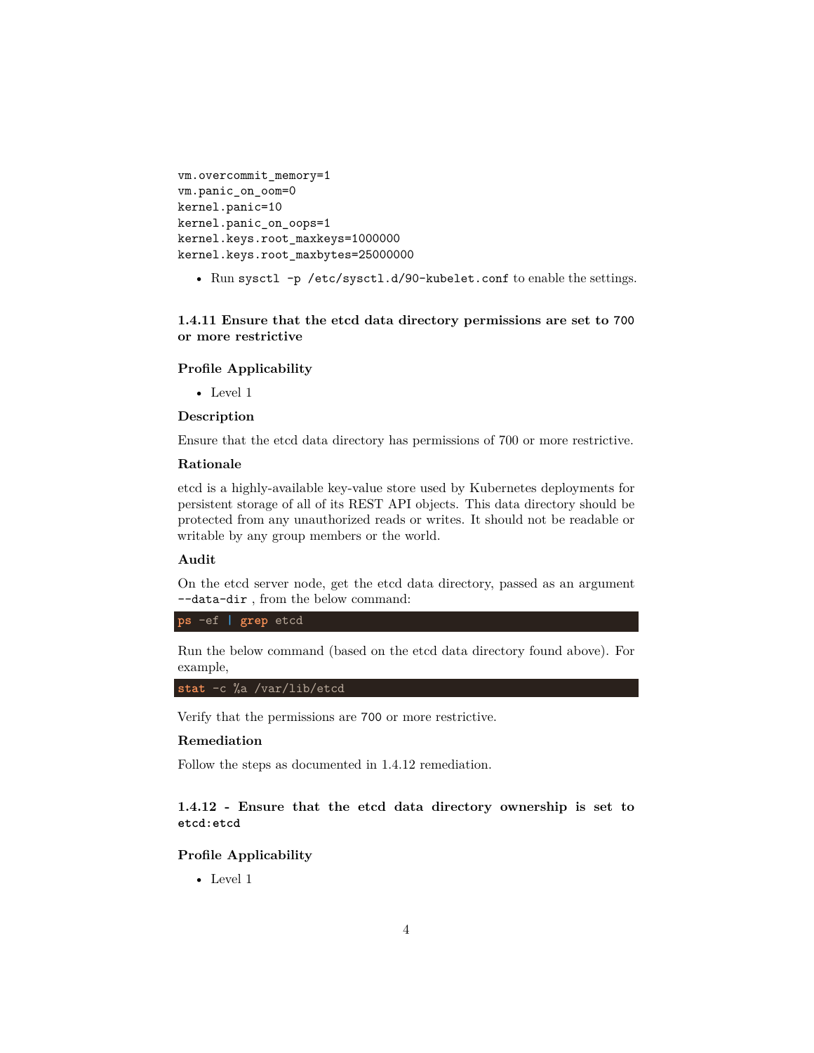```
vm.overcommit_memory=1
vm.panic_on_oom=0
kernel.panic=10
kernel.panic_on_oops=1
kernel.keys.root_maxkeys=1000000
kernel.keys.root_maxbytes=25000000
```
• Run sysctl -p /etc/sysctl.d/90-kubelet.conf to enable the settings.

## <span id="page-3-0"></span>**1.4.11 Ensure that the etcd data directory permissions are set to 700 or more restrictive**

#### **Profile Applicability**

• Level 1

#### **Description**

Ensure that the etcd data directory has permissions of 700 or more restrictive.

#### **Rationale**

etcd is a highly-available key-value store used by Kubernetes deployments for persistent storage of all of its REST API objects. This data directory should be protected from any unauthorized reads or writes. It should not be readable or writable by any group members or the world.

#### **Audit**

On the etcd server node, get the etcd data directory, passed as an argument --data-dir , from the below command:

**ps** -ef **| grep** etcd

Run the below command (based on the etcd data directory found above). For example,

**stat** -c %a /var/lib/etcd

Verify that the permissions are 700 or more restrictive.

#### **Remediation**

Follow the steps as documented in 1.4.12 remediation.

## <span id="page-3-1"></span>**1.4.12 - Ensure that the etcd data directory ownership is set to etcd:etcd**

## **Profile Applicability**

• Level 1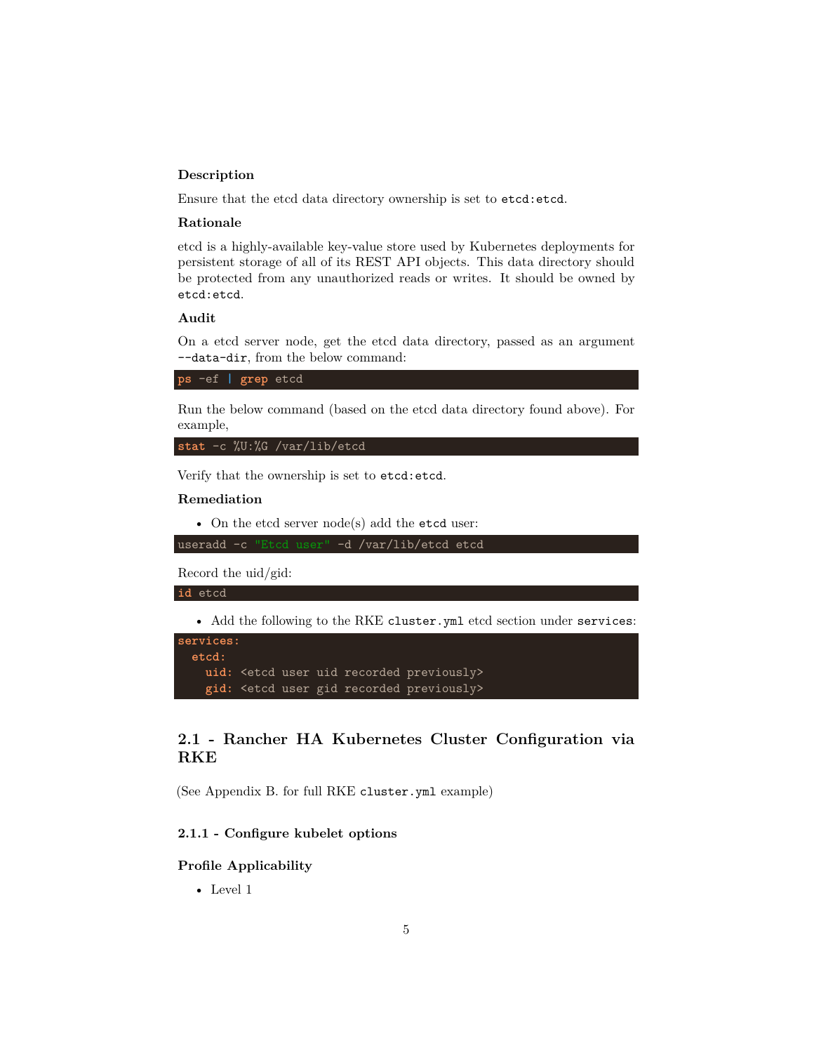## **Description**

Ensure that the etcd data directory ownership is set to etcd:etcd.

#### **Rationale**

etcd is a highly-available key-value store used by Kubernetes deployments for persistent storage of all of its REST API objects. This data directory should be protected from any unauthorized reads or writes. It should be owned by etcd:etcd.

#### **Audit**

On a etcd server node, get the etcd data directory, passed as an argument --data-dir, from the below command:

**ps** -ef **| grep** etcd

Run the below command (based on the etcd data directory found above). For example,

**stat** -c %U:%G /var/lib/etcd

Verify that the ownership is set to etcd:etcd.

#### **Remediation**

• On the etcd server node(s) add the etcd user:

useradd -c "Etcd user" -d /var/lib/etcd etcd

Record the uid/gid:

#### **id** etcd

• Add the following to the RKE cluster.yml etcd section under services:

```
services:
 etcd:
   uid: <etcd user uid recorded previously>
   gid: <etcd user gid recorded previously>
```
## <span id="page-4-0"></span>**2.1 - Rancher HA Kubernetes Cluster Configuration via RKE**

(See Appendix B. for full RKE cluster.yml example)

## <span id="page-4-1"></span>**2.1.1 - Configure kubelet options**

### **Profile Applicability**

• Level 1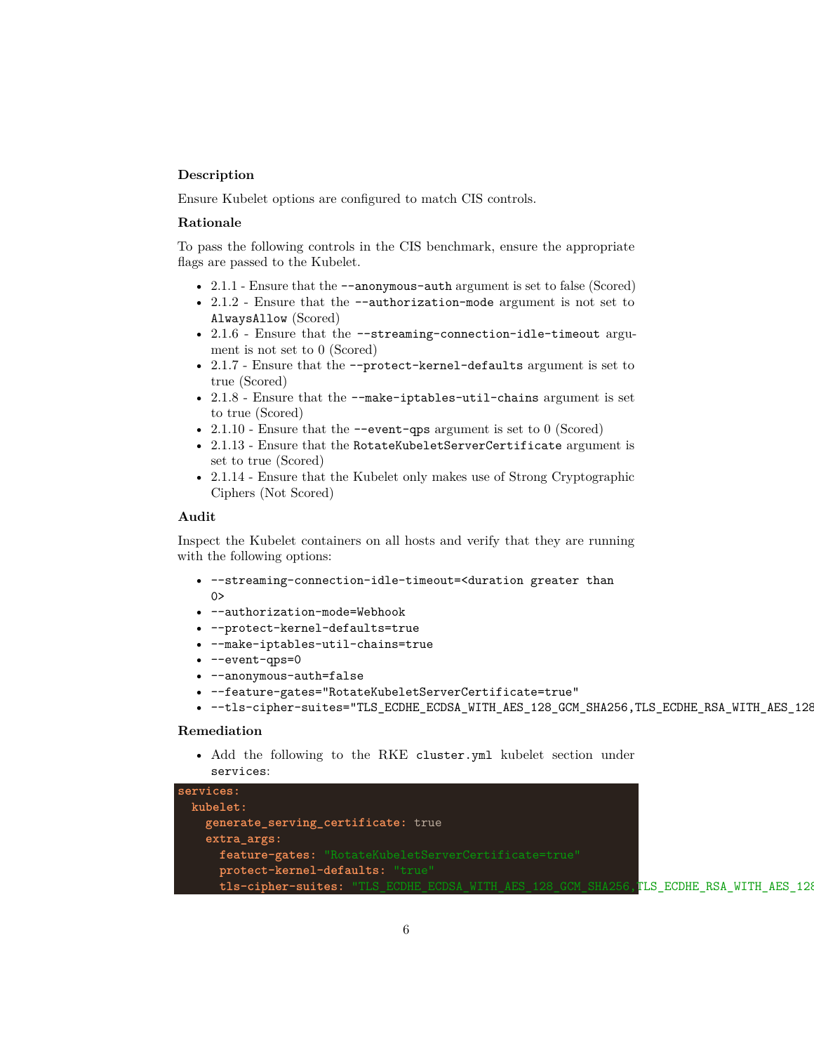#### **Description**

Ensure Kubelet options are configured to match CIS controls.

#### **Rationale**

To pass the following controls in the CIS benchmark, ensure the appropriate flags are passed to the Kubelet.

- 2.1.1 Ensure that the  $-$ -anonymous-auth argument is set to false (Scored)
- 2.1.2 Ensure that the --authorization-mode argument is not set to AlwaysAllow (Scored)
- 2.1.6 Ensure that the --streaming-connection-idle-timeout argument is not set to 0 (Scored)
- 2.1.7 Ensure that the --protect-kernel-defaults argument is set to true (Scored)
- 2.1.8 Ensure that the --make-iptables-util-chains argument is set to true (Scored)
- 2.1.10 Ensure that the  $\sim$ -event-qps argument is set to 0 (Scored)
- 2.1.13 Ensure that the RotateKubeletServerCertificate argument is set to true (Scored)
- 2.1.14 Ensure that the Kubelet only makes use of Strong Cryptographic Ciphers (Not Scored)

#### **Audit**

Inspect the Kubelet containers on all hosts and verify that they are running with the following options:

- --streaming-connection-idle-timeout=<duration greater than  $0>$
- --authorization-mode=Webhook
- --protect-kernel-defaults=true
- --make-iptables-util-chains=true
- --event-qps=0
- --anonymous-auth=false
- --feature-gates="RotateKubeletServerCertificate=true"
- --tls-cipher-suites="TLS\_ECDHE\_ECDSA\_WITH\_AES\_128\_GCM\_SHA256,TLS\_ECDHE\_RSA\_WITH\_AES\_128

#### **Remediation**

• Add the following to the RKE cluster.yml kubelet section under services:

```
services:
 kubelet:
   generate_serving_certificate: true
   extra_args:
     feature-gates: "RotateKubeletServerCertificate=true"
     protect-kernel-defaults: "true"
     tls-cipher-suites: "TLS_ECDHE_ECDSA_WITH_AES_128_GCM_SHA256, TLS_ECDHE_RSA_WITH_AES_128
```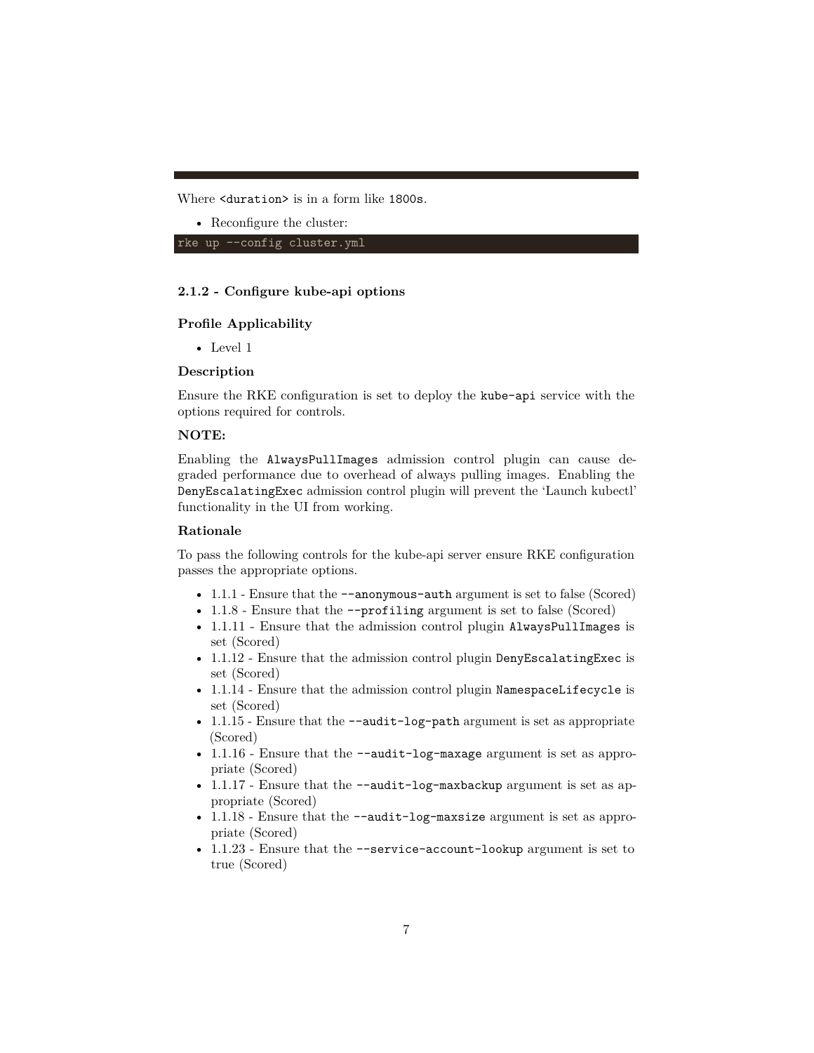Where <duration> is in a form like 1800s.

• Reconfigure the cluster:

rke up --config cluster.yml

## <span id="page-6-0"></span>**2.1.2 - Configure kube-api options**

## **Profile Applicability**

• Level 1

#### **Description**

Ensure the RKE configuration is set to deploy the kube-api service with the options required for controls.

#### **NOTE:**

Enabling the AlwaysPullImages admission control plugin can cause degraded performance due to overhead of always pulling images. Enabling the DenyEscalatingExec admission control plugin will prevent the 'Launch kubectl' functionality in the UI from working.

#### **Rationale**

To pass the following controls for the kube-api server ensure RKE configuration passes the appropriate options.

- 1.1.1 Ensure that the  $-$ -anonymous-auth argument is set to false (Scored)
- 1.1.8 Ensure that the  $\text{-profiling argument}$  is set to false (Scored)
- 1.1.11 Ensure that the admission control plugin AlwaysPullImages is set (Scored)
- 1.1.12 Ensure that the admission control plugin DenyEscalatingExec is set (Scored)
- 1.1.14 Ensure that the admission control plugin NamespaceLifecycle is set (Scored)
- 1.1.15 Ensure that the --audit-log-path argument is set as appropriate (Scored)
- 1.1.16 Ensure that the --audit-log-maxage argument is set as appropriate (Scored)
- 1.1.17 Ensure that the  $-\alpha$  -audit-log-maxbackup argument is set as appropriate (Scored)
- 1.1.18 Ensure that the --audit-log-maxsize argument is set as appropriate (Scored)
- 1.1.23 Ensure that the --service-account-lookup argument is set to true (Scored)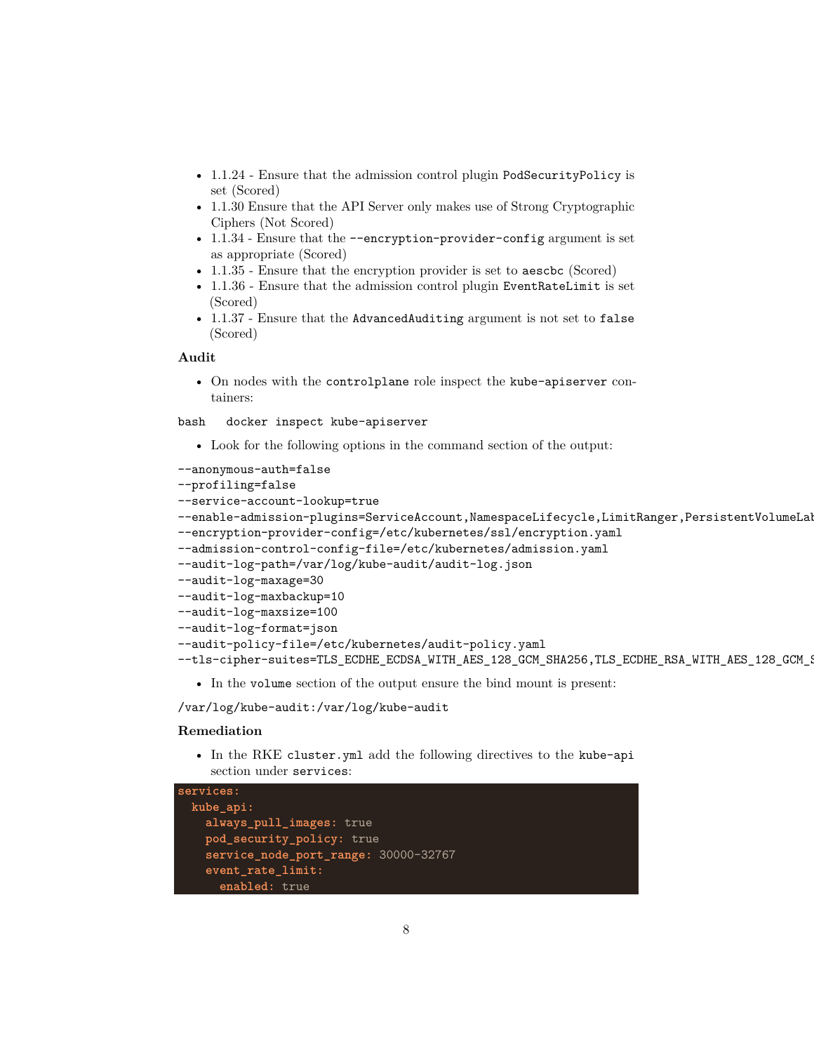- 1.1.24 Ensure that the admission control plugin PodSecurityPolicy is set (Scored)
- 1.1.30 Ensure that the API Server only makes use of Strong Cryptographic Ciphers (Not Scored)
- 1.1.34 Ensure that the --encryption-provider-config argument is set as appropriate (Scored)
- 1.1.35 Ensure that the encryption provider is set to aeschc (Scored)
- 1.1.36 Ensure that the admission control plugin EventRateLimit is set (Scored)
- 1.1.37 Ensure that the AdvancedAuditing argument is not set to false (Scored)

#### **Audit**

• On nodes with the controlplane role inspect the kube-apiserver containers:

bash docker inspect kube-apiserver

• Look for the following options in the command section of the output:

--anonymous-auth=false

```
--profiling=false
--service-account-lookup=true
--enable-admission-plugins=ServiceAccount, NamespaceLifecycle, LimitRanger, PersistentVolumeLal
--encryption-provider-config=/etc/kubernetes/ssl/encryption.yaml
--admission-control-config-file=/etc/kubernetes/admission.yaml
--audit-log-path=/var/log/kube-audit/audit-log.json
--audit-log-maxage=30
--audit-log-maxbackup=10
--audit-log-maxsize=100
--audit-log-format=json
--audit-policy-file=/etc/kubernetes/audit-policy.yaml
--tls-cipher-suites=TLS_ECDHE_ECDSA_WITH_AES_128_GCM_SHA256,TLS_ECDHE_RSA_WITH_AES_128_GCM_9
```
• In the volume section of the output ensure the bind mount is present:

/var/log/kube-audit:/var/log/kube-audit

#### **Remediation**

• In the RKE cluster.yml add the following directives to the kube-api section under services:

```
services:
 kube_api:
   always_pull_images: true
   pod_security_policy: true
   service_node_port_range: 30000-32767
   event_rate_limit:
     enabled: true
```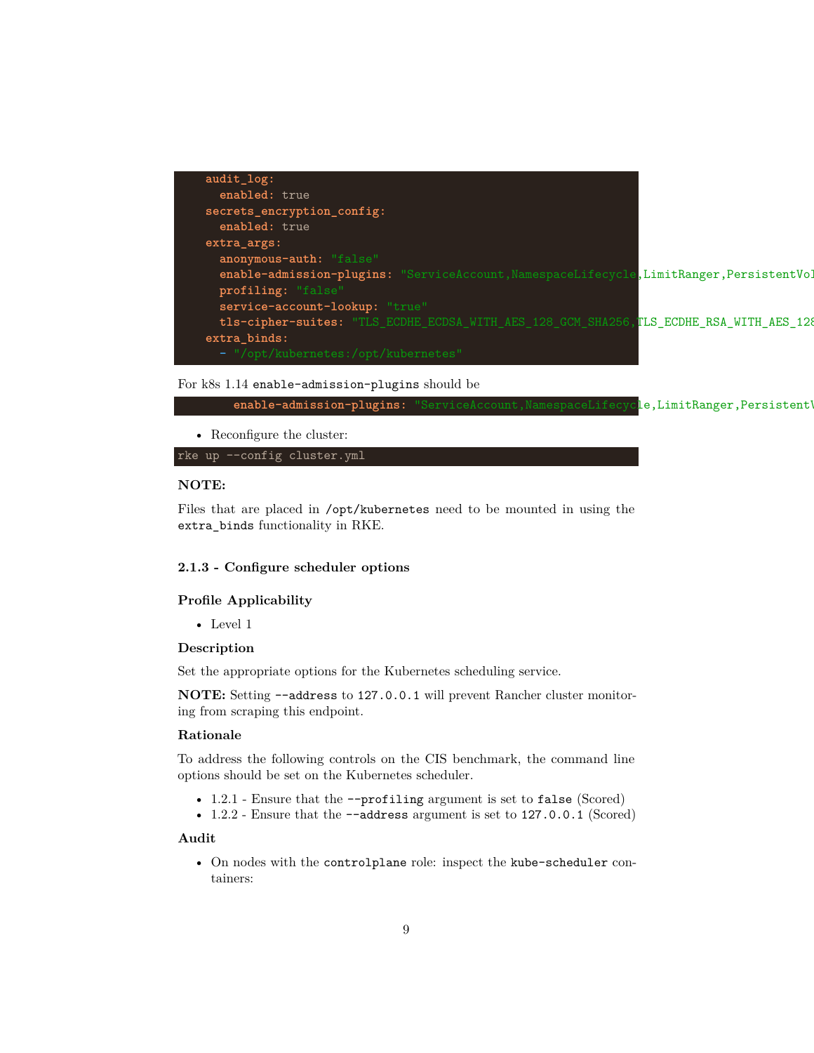| $audit\_log:$                                                                             |  |
|-------------------------------------------------------------------------------------------|--|
| enabled: true                                                                             |  |
| secrets_encryption_config:                                                                |  |
| enabled: true                                                                             |  |
| extra_args:                                                                               |  |
| anonymous-auth: "false"                                                                   |  |
| enable-admission-plugins: "ServiceAccount, NamespaceLifecycle, LimitRanger, PersistentVol |  |
| profiling: "false"                                                                        |  |
| service-account-lookup: "true"                                                            |  |
| tls-cipher-suites: "TLS_ECDHE_ECDSA_WITH_AES_128_GCM_SHA256,TLS_ECDHE_RSA_WITH_AES_128    |  |
| $extra\_binds$ :                                                                          |  |
| $\blacksquare$ = $\blacksquare$ /ont/kubernetes:/ont/kubernetes $\blacksquare$            |  |

#### For k8s 1.14 enable-admission-plugins should be



rke up --config cluster.yml

## **NOTE:**

Files that are placed in /opt/kubernetes need to be mounted in using the extra\_binds functionality in RKE.

#### <span id="page-8-0"></span>**2.1.3 - Configure scheduler options**

## **Profile Applicability**

• Level 1

#### **Description**

Set the appropriate options for the Kubernetes scheduling service.

**NOTE:** Setting --address to 127.0.0.1 will prevent Rancher cluster monitoring from scraping this endpoint.

#### **Rationale**

To address the following controls on the CIS benchmark, the command line options should be set on the Kubernetes scheduler.

- 1.2.1 Ensure that the --profiling argument is set to false (Scored)
- 1.2.2 Ensure that the --address argument is set to 127.0.0.1 (Scored)

#### **Audit**

• On nodes with the controlplane role: inspect the kube-scheduler containers: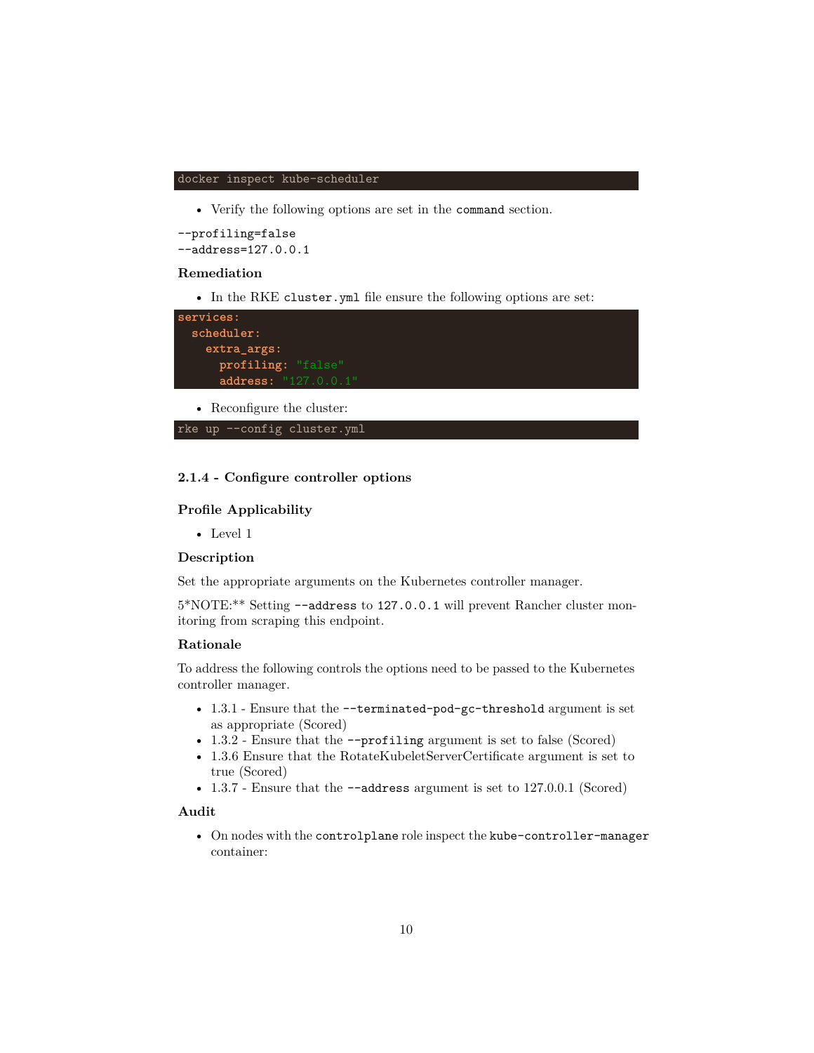#### docker inspect kube-scheduler

• Verify the following options are set in the command section.

--profiling=false --address=127.0.0.1

#### **Remediation**

• In the RKE cluster.yml file ensure the following options are set:

| services:                  |  |
|----------------------------|--|
| scheduler:                 |  |
| extra_args:                |  |
| profiling: "false"         |  |
| address: "127.0.0.1"       |  |
| • Reconfigure the cluster: |  |

rke up --config cluster.yml

#### <span id="page-9-0"></span>**2.1.4 - Configure controller options**

#### **Profile Applicability**

• Level 1

#### **Description**

Set the appropriate arguments on the Kubernetes controller manager.

5\*NOTE:\*\* Setting --address to 127.0.0.1 will prevent Rancher cluster monitoring from scraping this endpoint.

#### **Rationale**

To address the following controls the options need to be passed to the Kubernetes controller manager.

- 1.3.1 Ensure that the --terminated-pod-gc-threshold argument is set as appropriate (Scored)
- 1.3.2 Ensure that the --profiling argument is set to false (Scored)
- 1.3.6 Ensure that the RotateKubeletServerCertificate argument is set to true (Scored)
- 1.3.7 Ensure that the --address argument is set to 127.0.0.1 (Scored)

## **Audit**

• On nodes with the controlplane role inspect the kube-controller-manager container: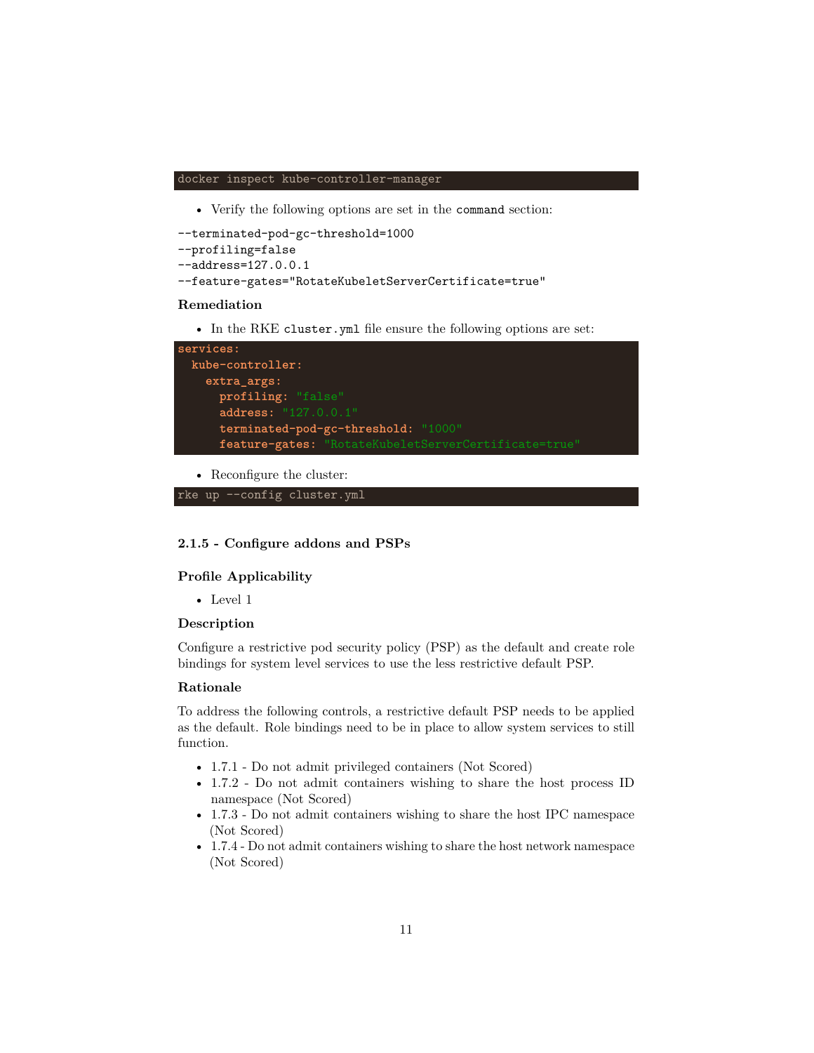#### docker inspect kube-controller-manager

• Verify the following options are set in the command section:

```
--terminated-pod-gc-threshold=1000
--profiling=false
--address=127.0.0.1
--feature-gates="RotateKubeletServerCertificate=true"
```
#### **Remediation**

• In the RKE cluster.yml file ensure the following options are set:



• Reconfigure the cluster:

```
rke up --config cluster.yml
```
#### <span id="page-10-0"></span>**2.1.5 - Configure addons and PSPs**

#### **Profile Applicability**

• Level 1

#### **Description**

Configure a restrictive pod security policy (PSP) as the default and create role bindings for system level services to use the less restrictive default PSP.

#### **Rationale**

To address the following controls, a restrictive default PSP needs to be applied as the default. Role bindings need to be in place to allow system services to still function.

- 1.7.1 Do not admit privileged containers (Not Scored)
- 1.7.2 Do not admit containers wishing to share the host process ID namespace (Not Scored)
- 1.7.3 Do not admit containers wishing to share the host IPC namespace (Not Scored)
- 1.7.4 Do not admit containers wishing to share the host network namespace (Not Scored)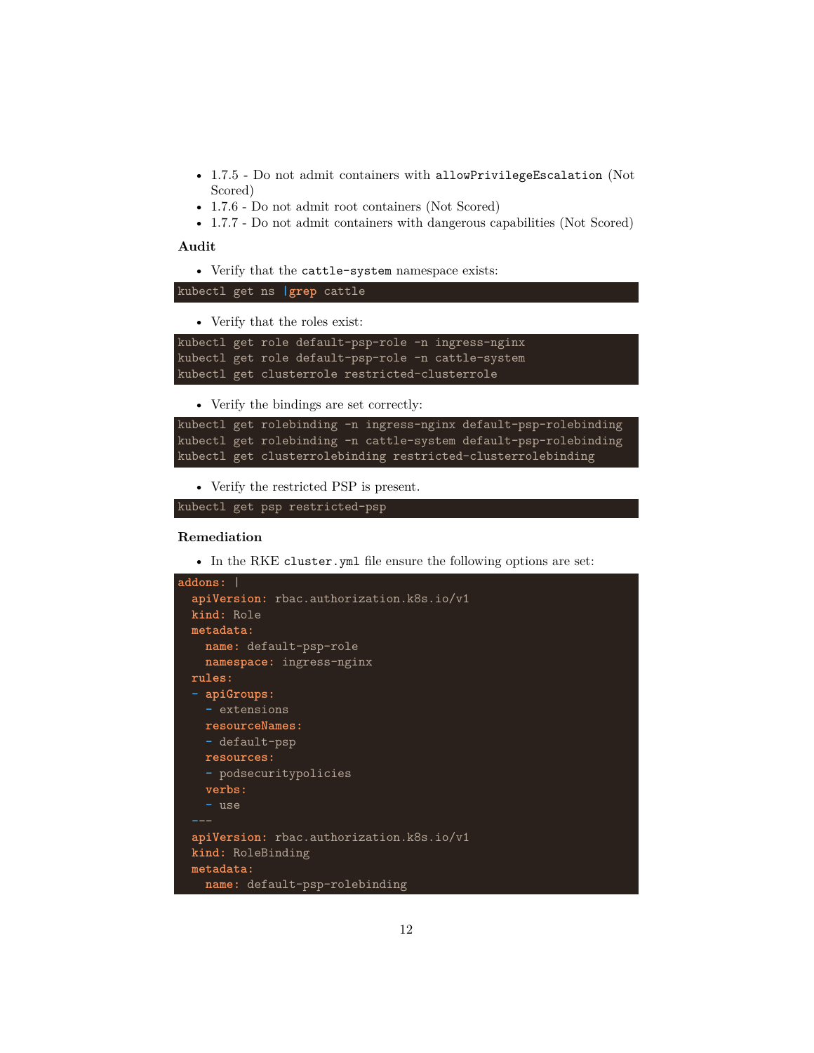- 1.7.5 Do not admit containers with allowPrivilegeEscalation (Not Scored)
- 1.7.6 Do not admit root containers (Not Scored)
- 1.7.7 Do not admit containers with dangerous capabilities (Not Scored)

#### **Audit**

• Verify that the cattle-system namespace exists:

kubectl get ns **|grep** cattle

• Verify that the roles exist:

```
kubectl get role default-psp-role -n ingress-nginx
kubectl get role default-psp-role -n cattle-system
kubectl get clusterrole restricted-clusterrole
```
• Verify the bindings are set correctly:

```
kubectl get rolebinding -n ingress-nginx default-psp-rolebinding
kubectl get rolebinding -n cattle-system default-psp-rolebinding
kubectl get clusterrolebinding restricted-clusterrolebinding
```
• Verify the restricted PSP is present.

```
kubectl get psp restricted-psp
```
#### **Remediation**

• In the RKE cluster.yml file ensure the following options are set:

```
addons: |
 apiVersion: rbac.authorization.k8s.io/v1
 kind: Role
 metadata:
   name: default-psp-role
   namespace: ingress-nginx
 rules:
  - apiGroups:
   - extensions
   resourceNames:
   - default-psp
   resources:
   - podsecuritypolicies
   verbs:
   - use
 apiVersion: rbac.authorization.k8s.io/v1
 kind: RoleBinding
 metadata:
   name: default-psp-rolebinding
```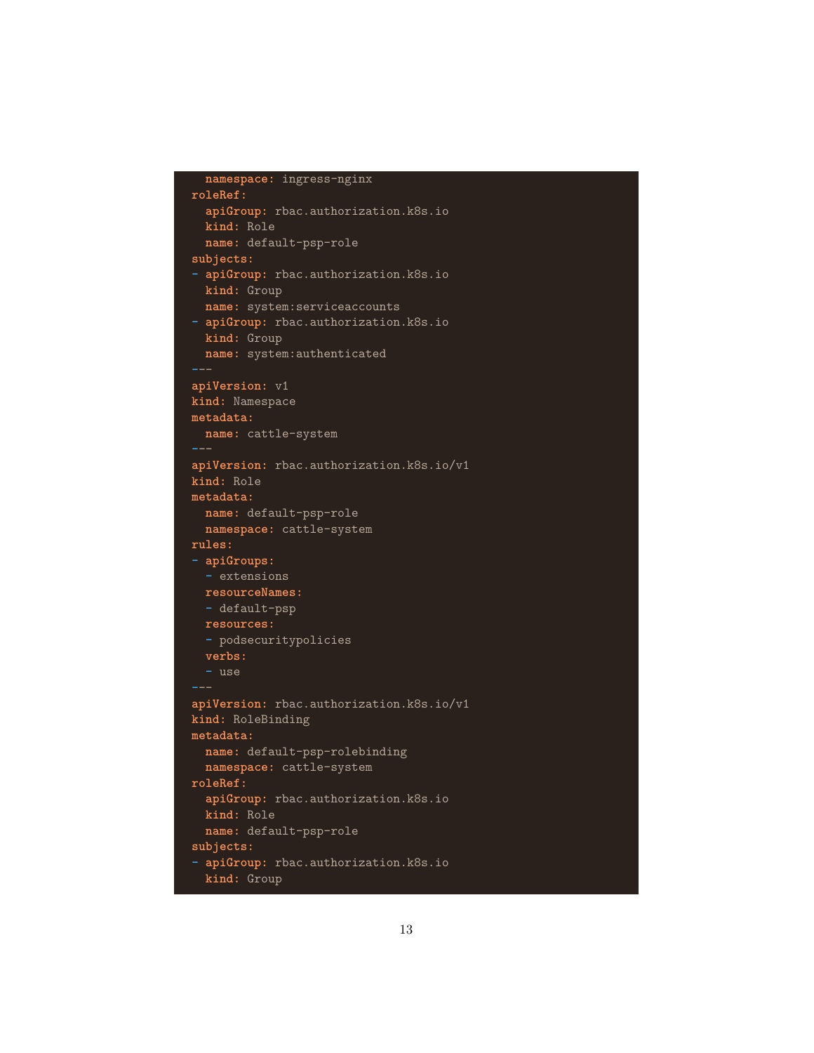```
namespace: ingress-nginx
roleRef:
  apiGroup: rbac.authorization.k8s.io
 kind: Role
  name: default-psp-role
subjects:
- apiGroup: rbac.authorization.k8s.io
 kind: Group
 name: system:serviceaccounts
- apiGroup: rbac.authorization.k8s.io
 kind: Group
 name: system:authenticated
---
apiVersion: v1
kind: Namespace
metadata:
 name: cattle-system
apiVersion: rbac.authorization.k8s.io/v1
kind: Role
metadata:
  name: default-psp-role
 namespace: cattle-system
rules:
- apiGroups:
 - extensions
 resourceNames:
  - default-psp
 resources:
  - podsecuritypolicies
 verbs:
  - use
---
apiVersion: rbac.authorization.k8s.io/v1
kind: RoleBinding
metadata:
 name: default-psp-rolebinding
 namespace: cattle-system
roleRef:
  apiGroup: rbac.authorization.k8s.io
 kind: Role
 name: default-psp-role
subjects:
- apiGroup: rbac.authorization.k8s.io
  kind: Group
```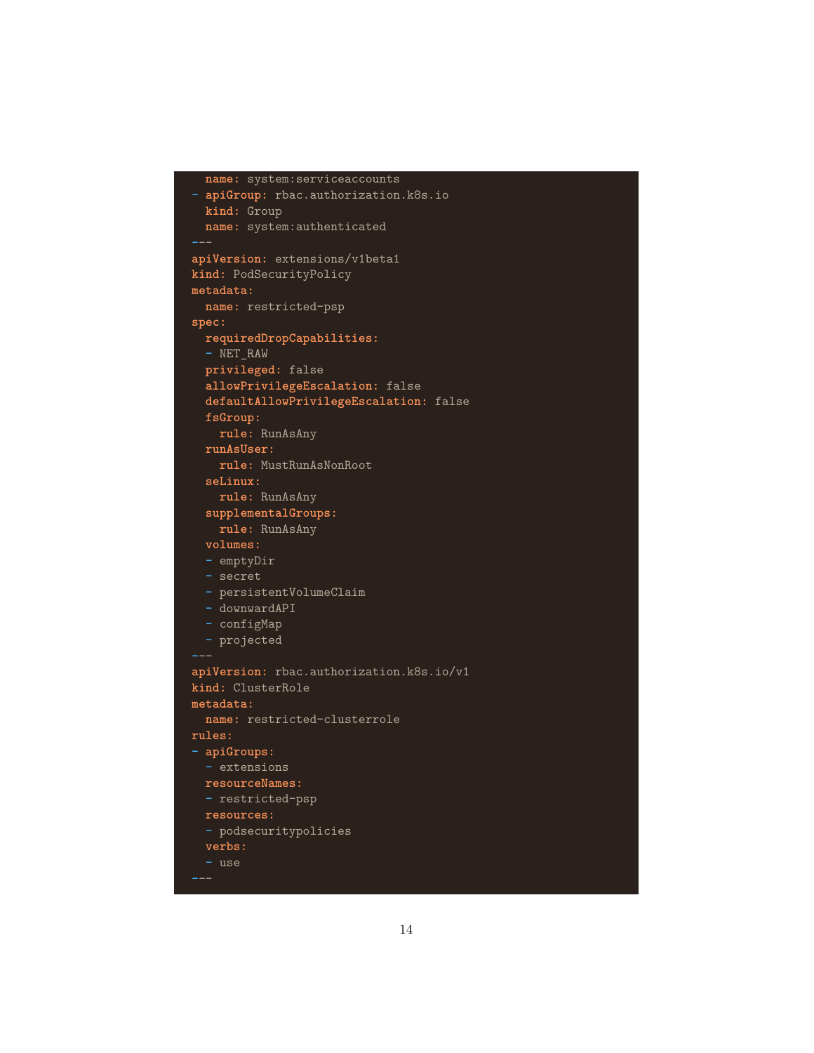```
name: system:serviceaccounts
- apiGroup: rbac.authorization.k8s.io
 kind: Group
 name: system:authenticated
apiVersion: extensions/v1beta1
kind: PodSecurityPolicy
metadata:
  name: restricted-psp
spec:
  requiredDropCapabilities:
  - NET_RAW
  privileged: false
  allowPrivilegeEscalation: false
  defaultAllowPrivilegeEscalation: false
  fsGroup:
    rule: RunAsAny
  runAsUser:
   rule: MustRunAsNonRoot
  seLinux:
   rule: RunAsAny
  supplementalGroups:
   rule: RunAsAny
 volumes:
  - emptyDir
  - secret
 - persistentVolumeClaim
  - downwardAPI
  - configMap
 - projected
---
apiVersion: rbac.authorization.k8s.io/v1
kind: ClusterRole
metadata:
 name: restricted-clusterrole
rules:
- apiGroups:
 - extensions
 resourceNames:
  - restricted-psp
 resources:
 - podsecuritypolicies
 verbs:
  - use
```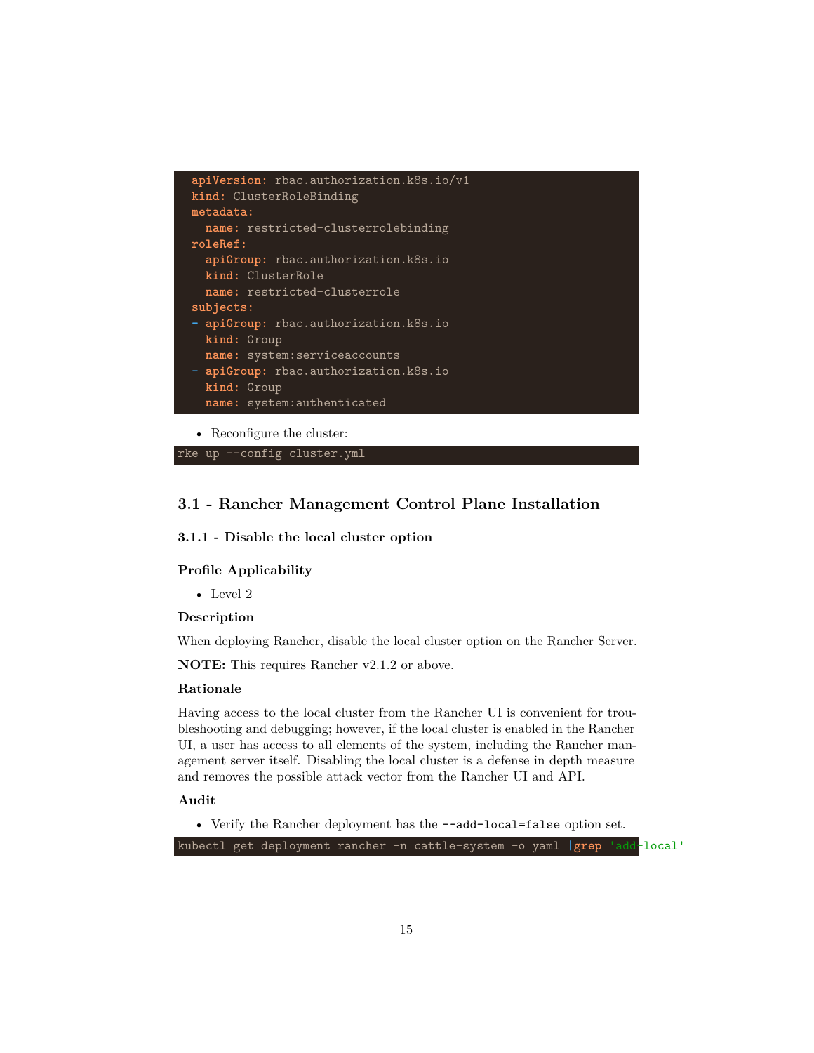

• Reconfigure the cluster:

rke up --config cluster.yml

## <span id="page-14-0"></span>**3.1 - Rancher Management Control Plane Installation**

#### <span id="page-14-1"></span>**3.1.1 - Disable the local cluster option**

### **Profile Applicability**

• Level 2

#### **Description**

When deploying Rancher, disable the local cluster option on the Rancher Server.

**NOTE:** This requires Rancher v2.1.2 or above.

#### **Rationale**

Having access to the local cluster from the Rancher UI is convenient for troubleshooting and debugging; however, if the local cluster is enabled in the Rancher UI, a user has access to all elements of the system, including the Rancher management server itself. Disabling the local cluster is a defense in depth measure and removes the possible attack vector from the Rancher UI and API.

## **Audit**

• Verify the Rancher deployment has the --add-local=false option set.

kubectl get deployment rancher -n cattle-system -o yaml **|grep** 'add-local'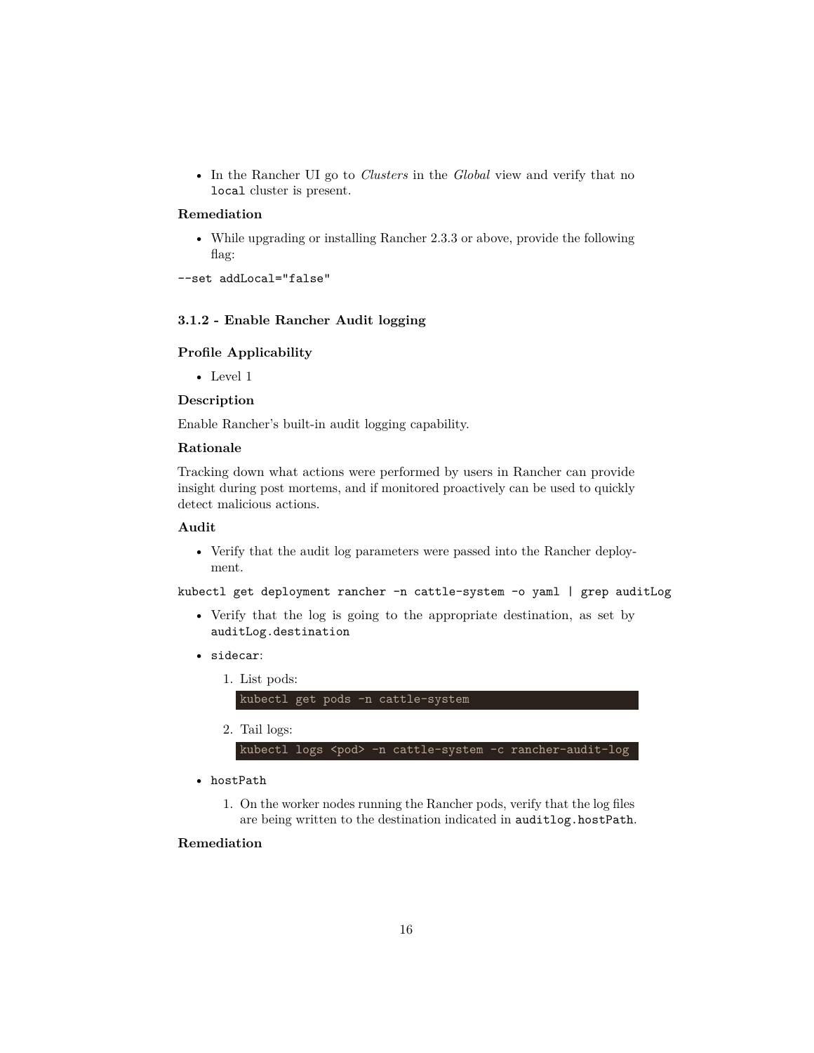• In the Rancher UI go to *Clusters* in the *Global* view and verify that no local cluster is present.

## **Remediation**

• While upgrading or installing Rancher 2.3.3 or above, provide the following flag:

```
--set addLocal="false"
```
## <span id="page-15-0"></span>**3.1.2 - Enable Rancher Audit logging**

## **Profile Applicability**

• Level 1

#### **Description**

Enable Rancher's built-in audit logging capability.

#### **Rationale**

Tracking down what actions were performed by users in Rancher can provide insight during post mortems, and if monitored proactively can be used to quickly detect malicious actions.

## **Audit**

• Verify that the audit log parameters were passed into the Rancher deployment.

kubectl get deployment rancher -n cattle-system -o yaml | grep auditLog

- Verify that the log is going to the appropriate destination, as set by auditLog.destination
- sidecar:
	- 1. List pods:

#### kubectl get pods -n cattle-system

2. Tail logs:

kubectl logs <pod> -n cattle-system -c rancher-audit-log

• hostPath

1. On the worker nodes running the Rancher pods, verify that the log files are being written to the destination indicated in auditlog.hostPath.

## **Remediation**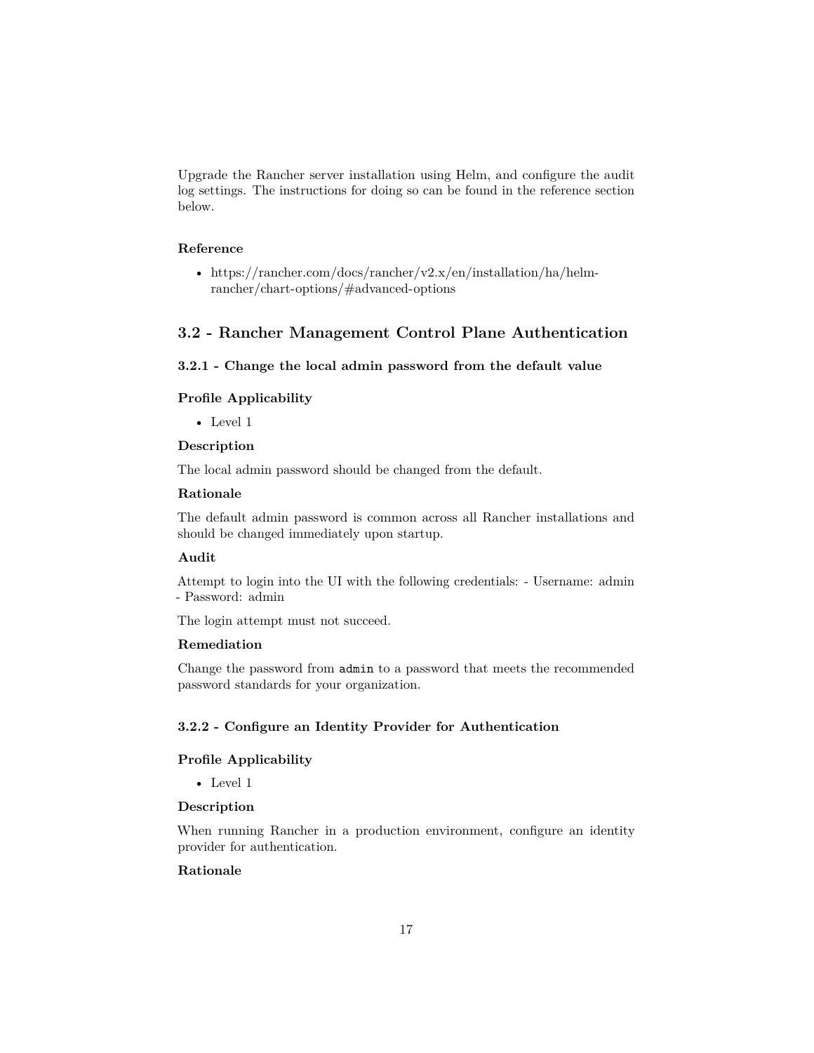Upgrade the Rancher server installation using Helm, and configure the audit log settings. The instructions for doing so can be found in the reference section below.

#### **Reference**

• [https://rancher.com/docs/rancher/v2.x/en/installation/ha/helm](https://rancher.com/docs/rancher/v2.x/en/installation/ha/helm-rancher/chart-options/#advanced-options)[rancher/chart-options/#advanced-options](https://rancher.com/docs/rancher/v2.x/en/installation/ha/helm-rancher/chart-options/#advanced-options)

## <span id="page-16-0"></span>**3.2 - Rancher Management Control Plane Authentication**

## <span id="page-16-1"></span>**3.2.1 - Change the local admin password from the default value**

#### **Profile Applicability**

• Level 1

#### **Description**

The local admin password should be changed from the default.

#### **Rationale**

The default admin password is common across all Rancher installations and should be changed immediately upon startup.

#### **Audit**

Attempt to login into the UI with the following credentials: - Username: admin - Password: admin

The login attempt must not succeed.

#### **Remediation**

Change the password from admin to a password that meets the recommended password standards for your organization.

#### <span id="page-16-2"></span>**3.2.2 - Configure an Identity Provider for Authentication**

#### **Profile Applicability**

• Level 1

#### **Description**

When running Rancher in a production environment, configure an identity provider for authentication.

## **Rationale**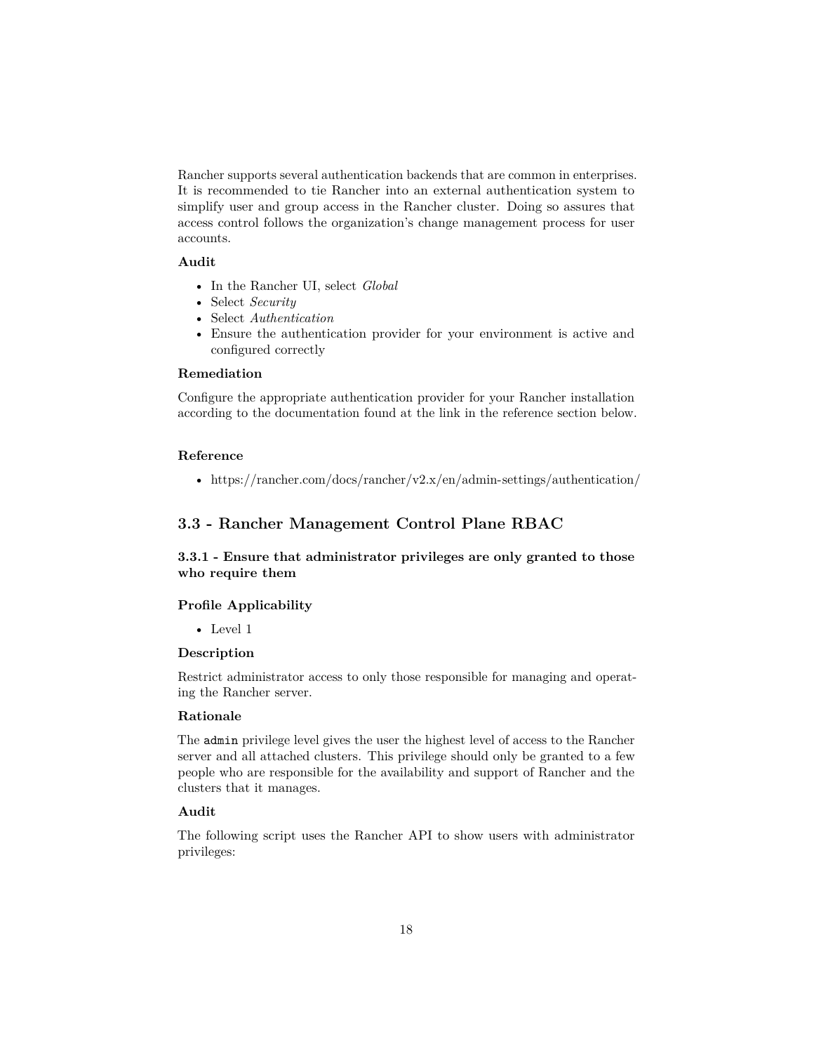Rancher supports several authentication backends that are common in enterprises. It is recommended to tie Rancher into an external authentication system to simplify user and group access in the Rancher cluster. Doing so assures that access control follows the organization's change management process for user accounts.

## **Audit**

- In the Rancher UI, select *Global*
- Select *Security*
- Select *Authentication*
- Ensure the authentication provider for your environment is active and configured correctly

## **Remediation**

Configure the appropriate authentication provider for your Rancher installation according to the documentation found at the link in the reference section below.

#### **Reference**

• <https://rancher.com/docs/rancher/v2.x/en/admin-settings/authentication/>

## <span id="page-17-0"></span>**3.3 - Rancher Management Control Plane RBAC**

## <span id="page-17-1"></span>**3.3.1 - Ensure that administrator privileges are only granted to those who require them**

#### **Profile Applicability**

• Level 1

#### **Description**

Restrict administrator access to only those responsible for managing and operating the Rancher server.

#### **Rationale**

The admin privilege level gives the user the highest level of access to the Rancher server and all attached clusters. This privilege should only be granted to a few people who are responsible for the availability and support of Rancher and the clusters that it manages.

#### **Audit**

The following script uses the Rancher API to show users with administrator privileges: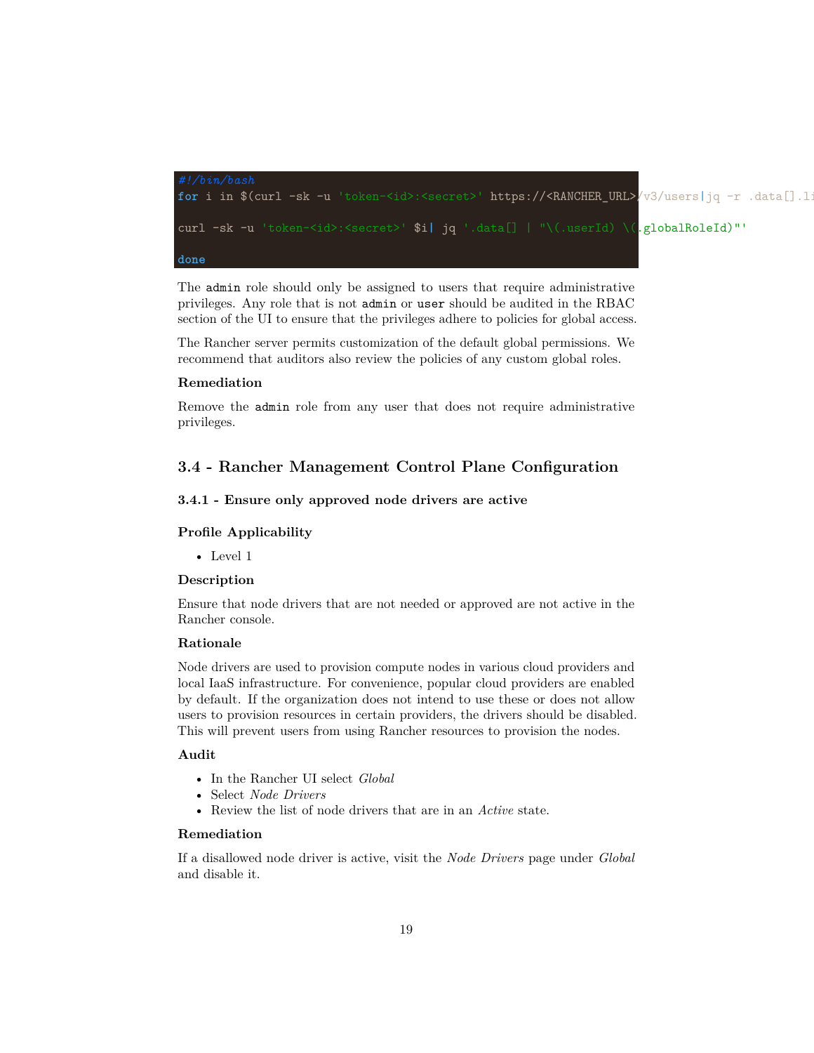

The admin role should only be assigned to users that require administrative privileges. Any role that is not admin or user should be audited in the RBAC section of the UI to ensure that the privileges adhere to policies for global access.

The Rancher server permits customization of the default global permissions. We recommend that auditors also review the policies of any custom global roles.

#### **Remediation**

Remove the admin role from any user that does not require administrative privileges.

## <span id="page-18-0"></span>**3.4 - Rancher Management Control Plane Configuration**

#### <span id="page-18-1"></span>**3.4.1 - Ensure only approved node drivers are active**

#### **Profile Applicability**

• Level 1

#### **Description**

Ensure that node drivers that are not needed or approved are not active in the Rancher console.

## **Rationale**

Node drivers are used to provision compute nodes in various cloud providers and local IaaS infrastructure. For convenience, popular cloud providers are enabled by default. If the organization does not intend to use these or does not allow users to provision resources in certain providers, the drivers should be disabled. This will prevent users from using Rancher resources to provision the nodes.

#### **Audit**

- In the Rancher UI select *Global*
- Select *Node Drivers*
- Review the list of node drivers that are in an *Active* state.

#### **Remediation**

If a disallowed node driver is active, visit the *Node Drivers* page under *Global* and disable it.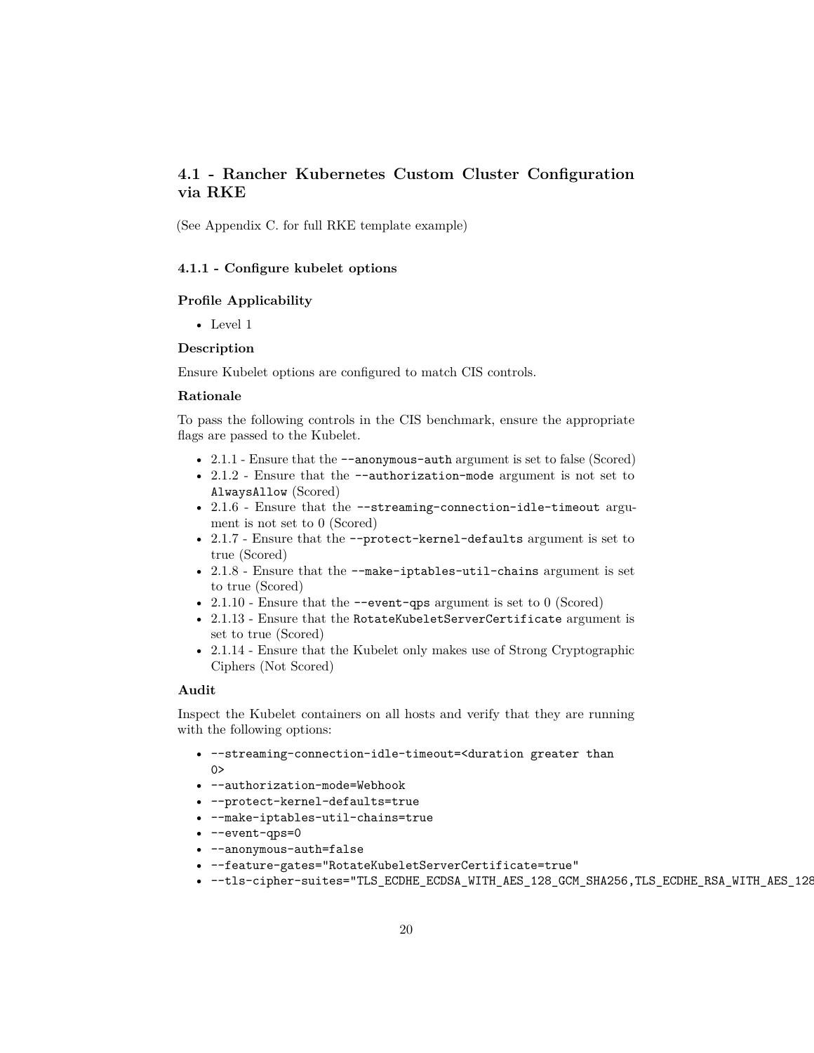## <span id="page-19-0"></span>**4.1 - Rancher Kubernetes Custom Cluster Configuration via RKE**

(See Appendix C. for full RKE template example)

#### <span id="page-19-1"></span>**4.1.1 - Configure kubelet options**

#### **Profile Applicability**

• Level 1

#### **Description**

Ensure Kubelet options are configured to match CIS controls.

#### **Rationale**

To pass the following controls in the CIS benchmark, ensure the appropriate flags are passed to the Kubelet.

- 2.1.1 Ensure that the  $-$ -anonymous-auth argument is set to false (Scored)
- 2.1.2 Ensure that the --authorization-mode argument is not set to AlwaysAllow (Scored)
- 2.1.6 Ensure that the --streaming-connection-idle-timeout argument is not set to 0 (Scored)
- 2.1.7 Ensure that the --protect-kernel-defaults argument is set to true (Scored)
- 2.1.8 Ensure that the --make-iptables-util-chains argument is set to true (Scored)
- 2.1.10 Ensure that the  $\sim$ -event-qps argument is set to 0 (Scored)
- 2.1.13 Ensure that the RotateKubeletServerCertificate argument is set to true (Scored)
- 2.1.14 Ensure that the Kubelet only makes use of Strong Cryptographic Ciphers (Not Scored)

#### **Audit**

Inspect the Kubelet containers on all hosts and verify that they are running with the following options:

- --streaming-connection-idle-timeout=<duration greater than  $0>$
- --authorization-mode=Webhook
- --protect-kernel-defaults=true
- --make-iptables-util-chains=true
- --event-qps=0
- --anonymous-auth=false
- --feature-gates="RotateKubeletServerCertificate=true"
- --tls-cipher-suites="TLS\_ECDHE\_ECDSA\_WITH\_AES\_128\_GCM\_SHA256,TLS\_ECDHE\_RSA\_WITH\_AES\_128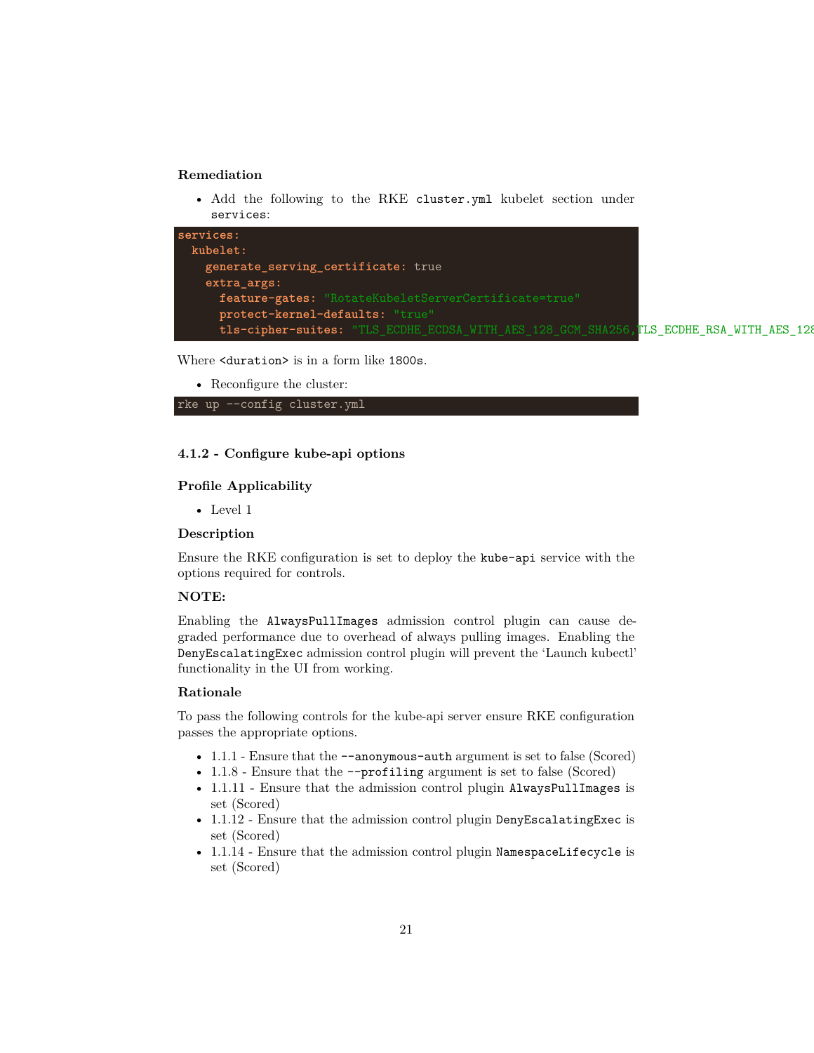## **Remediation**

• Add the following to the RKE cluster.yml kubelet section under services:

| services:                                                                              |  |  |
|----------------------------------------------------------------------------------------|--|--|
| kubelet:                                                                               |  |  |
| generate_serving_certificate: true                                                     |  |  |
| extra_args:                                                                            |  |  |
| feature-gates: "RotateKubeletServerCertificate=true"                                   |  |  |
| protect-kernel-defaults: "true"                                                        |  |  |
| tls-cipher-suites: "TLS_ECDHE_ECDSA_WITH_AES_128_GCM_SHA256,TLS_ECDHE_RSA_WITH_AES_128 |  |  |

Where <duration> is in a form like 1800s.

• Reconfigure the cluster:



## <span id="page-20-0"></span>**4.1.2 - Configure kube-api options**

#### **Profile Applicability**

• Level 1

#### **Description**

Ensure the RKE configuration is set to deploy the kube-api service with the options required for controls.

#### **NOTE:**

Enabling the AlwaysPullImages admission control plugin can cause degraded performance due to overhead of always pulling images. Enabling the DenyEscalatingExec admission control plugin will prevent the 'Launch kubectl' functionality in the UI from working.

#### **Rationale**

To pass the following controls for the kube-api server ensure RKE configuration passes the appropriate options.

- 1.1.1 Ensure that the  $-$ -anonymous-auth argument is set to false (Scored)
- 1.1.8 Ensure that the --profiling argument is set to false (Scored)
- 1.1.11 Ensure that the admission control plugin AlwaysPullImages is set (Scored)
- 1.1.12 Ensure that the admission control plugin DenyEscalatingExec is set (Scored)
- 1.1.14 Ensure that the admission control plugin NamespaceLifecycle is set (Scored)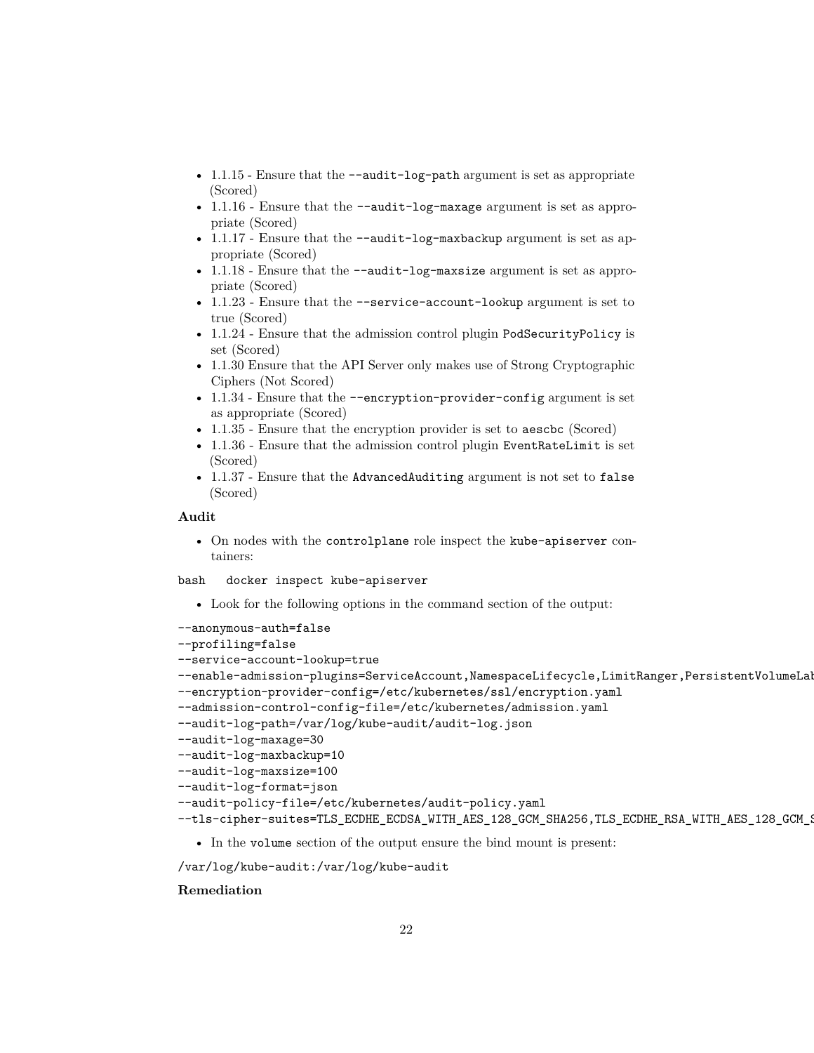- 1.1.15 Ensure that the --audit-log-path argument is set as appropriate (Scored)
- 1.1.16 Ensure that the --audit-log-maxage argument is set as appropriate (Scored)
- 1.1.17 Ensure that the --audit-log-maxbackup argument is set as appropriate (Scored)
- 1.1.18 Ensure that the --audit-log-maxsize argument is set as appropriate (Scored)
- 1.1.23 Ensure that the --service-account-lookup argument is set to true (Scored)
- 1.1.24 Ensure that the admission control plugin PodSecurityPolicy is set (Scored)
- 1.1.30 Ensure that the API Server only makes use of Strong Cryptographic Ciphers (Not Scored)
- 1.1.34 Ensure that the --encryption-provider-config argument is set as appropriate (Scored)
- 1.1.35 Ensure that the encryption provider is set to aeschc (Scored)
- 1.1.36 Ensure that the admission control plugin EventRateLimit is set (Scored)
- 1.1.37 Ensure that the AdvancedAuditing argument is not set to false (Scored)

#### **Audit**

• On nodes with the controlplane role inspect the kube-apiserver containers:

bash docker inspect kube-apiserver

• Look for the following options in the command section of the output:

```
--anonymous-auth=false
--profiling=false
--service-account-lookup=true
--enable-admission-plugins=ServiceAccount, NamespaceLifecycle, LimitRanger, PersistentVolumeLal
--encryption-provider-config=/etc/kubernetes/ssl/encryption.yaml
--admission-control-config-file=/etc/kubernetes/admission.yaml
--audit-log-path=/var/log/kube-audit/audit-log.json
--audit-log-maxage=30
--audit-log-maxbackup=10
--audit-log-maxsize=100
--audit-log-format=json
--audit-policy-file=/etc/kubernetes/audit-policy.yaml
--tls-cipher-suites=TLS_ECDHE_ECDSA_WITH_AES_128_GCM_SHA256,TLS_ECDHE_RSA_WITH_AES_128_GCM_9
```
• In the volume section of the output ensure the bind mount is present:

```
/var/log/kube-audit:/var/log/kube-audit
```
#### **Remediation**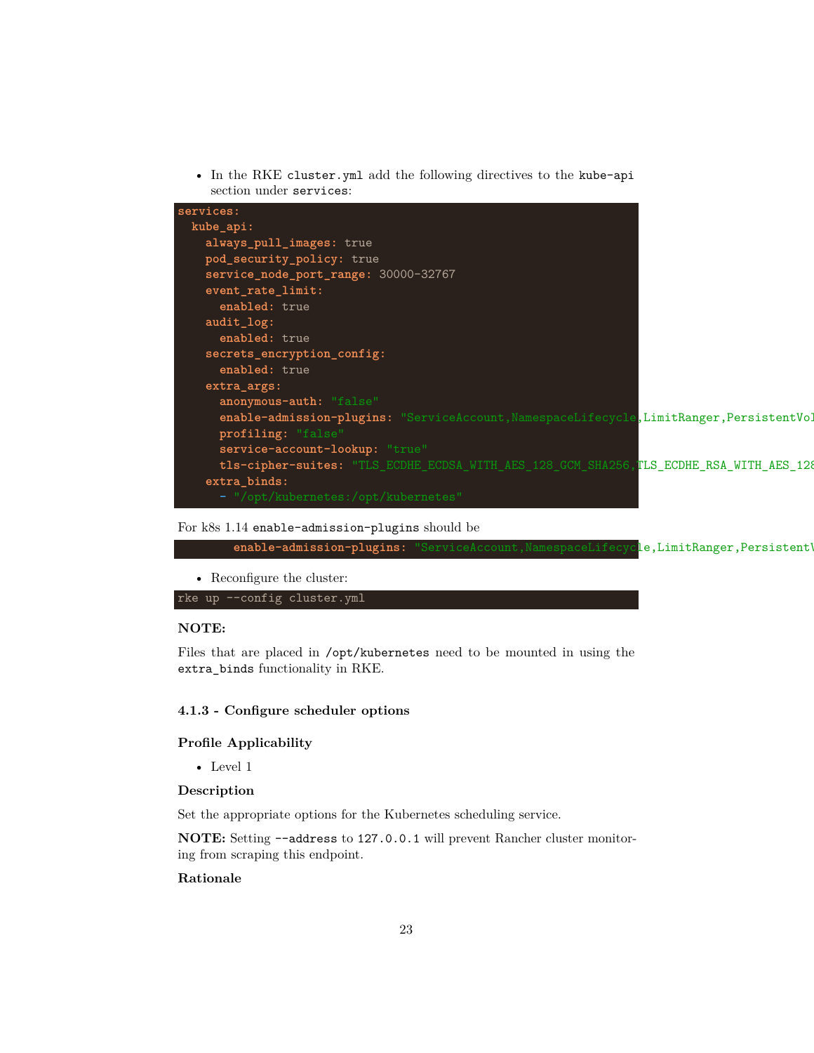• In the RKE cluster.yml add the following directives to the kube-api section under services:



#### For k8s 1.14 enable-admission-plugins should be

enable-admission-plugins: "ServiceAccount, NamespaceLifecycle, LimitRanger, Persistent'

• Reconfigure the cluster:

rke up --config cluster.yml

## **NOTE:**

Files that are placed in /opt/kubernetes need to be mounted in using the extra\_binds functionality in RKE.

## <span id="page-22-0"></span>**4.1.3 - Configure scheduler options**

#### **Profile Applicability**

• Level 1

#### **Description**

Set the appropriate options for the Kubernetes scheduling service.

**NOTE:** Setting --address to 127.0.0.1 will prevent Rancher cluster monitoring from scraping this endpoint.

## **Rationale**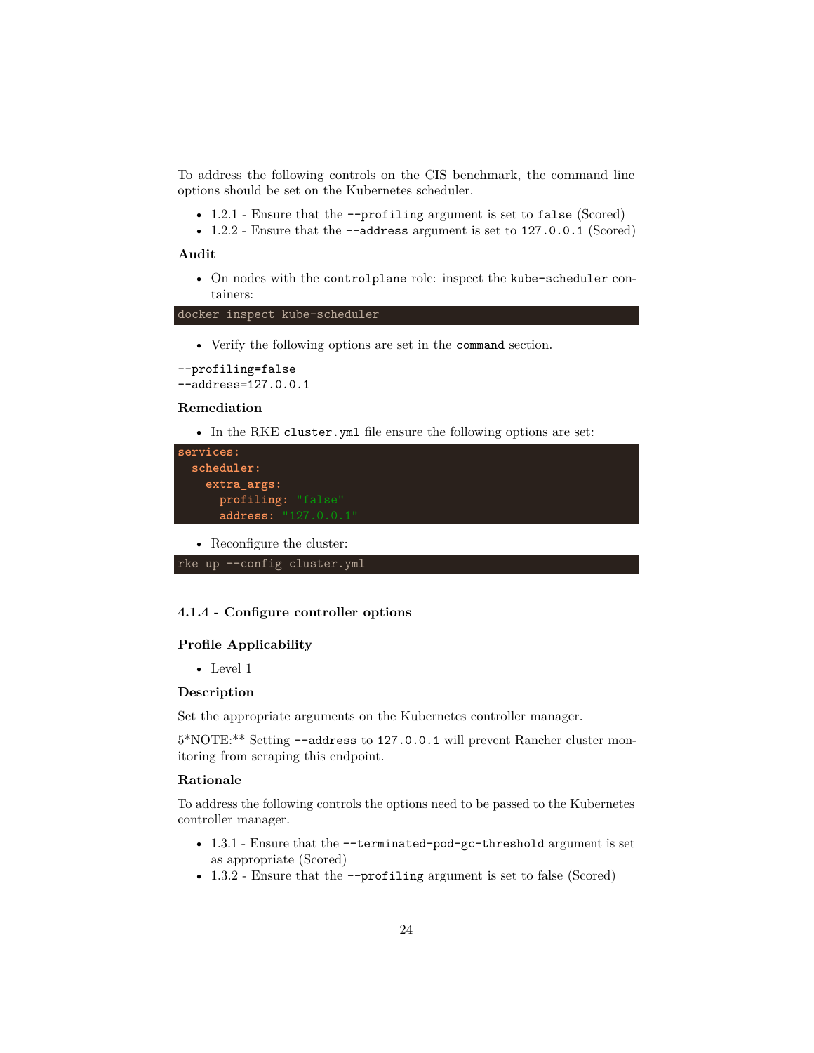To address the following controls on the CIS benchmark, the command line options should be set on the Kubernetes scheduler.

- 1.2.1 Ensure that the --profiling argument is set to false (Scored)
- 1.2.2 Ensure that the --address argument is set to 127.0.0.1 (Scored)

#### **Audit**

• On nodes with the controlplane role: inspect the kube-scheduler containers:

docker inspect kube-scheduler

• Verify the following options are set in the command section.

```
--profiling=false
--address=127.0.0.1
```
## **Remediation**

• In the RKE cluster.yml file ensure the following options are set:

| services:              |
|------------------------|
| scheduler:             |
| extra args:            |
| profiling: "false"     |
| address: $"127.0.0.1"$ |

• Reconfigure the cluster:

```
rke up --config cluster.yml
```
## <span id="page-23-0"></span>**4.1.4 - Configure controller options**

#### **Profile Applicability**

• Level 1

#### **Description**

Set the appropriate arguments on the Kubernetes controller manager.

5\*NOTE:\*\* Setting --address to 127.0.0.1 will prevent Rancher cluster monitoring from scraping this endpoint.

#### **Rationale**

To address the following controls the options need to be passed to the Kubernetes controller manager.

- 1.3.1 Ensure that the --terminated-pod-gc-threshold argument is set as appropriate (Scored)
- 1.3.2 Ensure that the  $\text{-profiling argument}$  is set to false (Scored)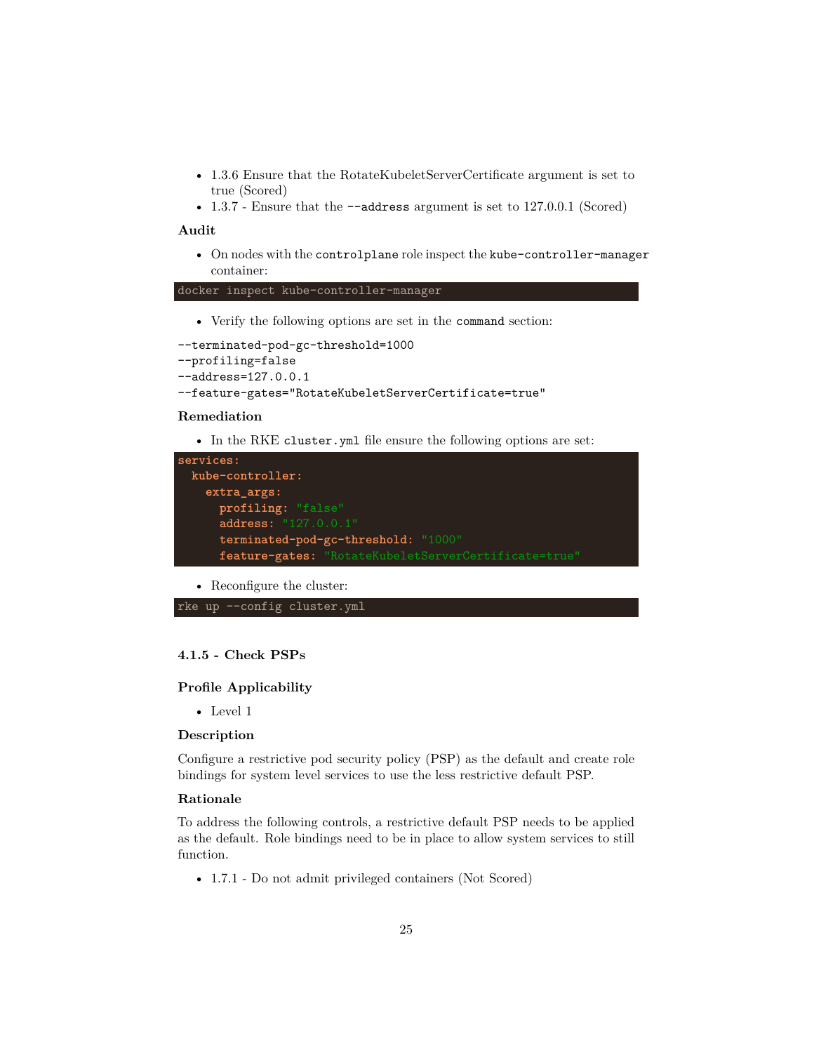- 1.3.6 Ensure that the RotateKubeletServerCertificate argument is set to true (Scored)
- 1.3.7 Ensure that the  $-$ -address argument is set to 127.0.0.1 (Scored)

#### **Audit**

• On nodes with the controlplane role inspect the kube-controller-manager container:

docker inspect kube-controller-manager

• Verify the following options are set in the command section:

```
--terminated-pod-gc-threshold=1000
--profiling=false
--address=127.0.0.1
--feature-gates="RotateKubeletServerCertificate=true"
```
#### **Remediation**

• In the RKE cluster.yml file ensure the following options are set:

```
services:
 kube-controller:
   extra_args:
     profiling: "false"
     address: "127.0.0.1"
     terminated-pod-gc-threshold: "1000"
     feature-gates: "RotateKubeletServerCertificate=true"
```
• Reconfigure the cluster:

```
rke up --config cluster.yml
```
## <span id="page-24-0"></span>**4.1.5 - Check PSPs**

## **Profile Applicability**

• Level 1

#### **Description**

Configure a restrictive pod security policy (PSP) as the default and create role bindings for system level services to use the less restrictive default PSP.

#### **Rationale**

To address the following controls, a restrictive default PSP needs to be applied as the default. Role bindings need to be in place to allow system services to still function.

• 1.7.1 - Do not admit privileged containers (Not Scored)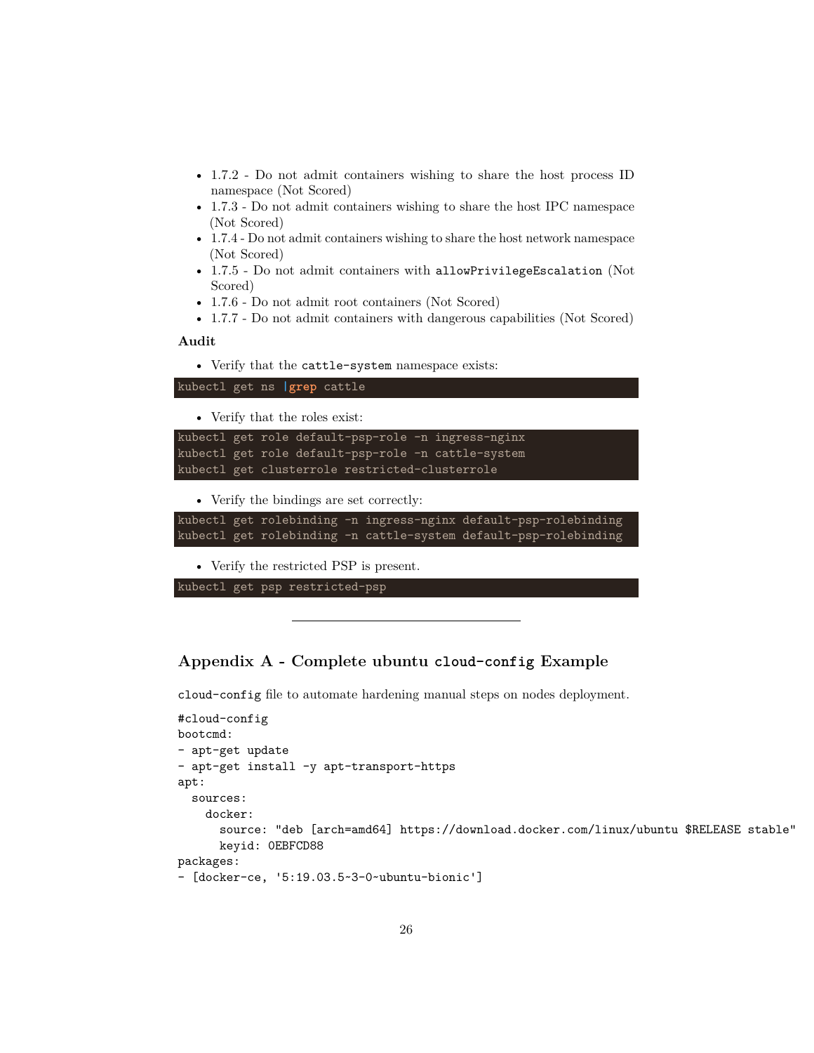- 1.7.2 Do not admit containers wishing to share the host process ID namespace (Not Scored)
- 1.7.3 Do not admit containers wishing to share the host IPC namespace (Not Scored)
- 1.7.4 Do not admit containers wishing to share the host network namespace (Not Scored)
- 1.7.5 Do not admit containers with allowPrivilegeEscalation (Not Scored)
- 1.7.6 Do not admit root containers (Not Scored)
- 1.7.7 Do not admit containers with dangerous capabilities (Not Scored)

#### **Audit**

• Verify that the cattle-system namespace exists:

```
kubectl get ns |grep cattle
```
• Verify that the roles exist:

```
kubectl get role default-psp-role -n ingress-nginx
kubectl get role default-psp-role -n cattle-system
kubectl get clusterrole restricted-clusterrole
```
• Verify the bindings are set correctly:

```
kubectl get rolebinding -n ingress-nginx default-psp-rolebinding
kubectl get rolebinding -n cattle-system default-psp-rolebinding
```
• Verify the restricted PSP is present.

kubectl get psp restricted-psp

## <span id="page-25-0"></span>**Appendix A - Complete ubuntu cloud-config Example**

cloud-config file to automate hardening manual steps on nodes deployment.

```
#cloud-config
bootcmd:
- apt-get update
- apt-get install -y apt-transport-https
apt:
 sources:
    docker:
      source: "deb [arch=amd64] https://download.docker.com/linux/ubuntu $RELEASE stable"
      keyid: 0EBFCD88
packages:
- [docker-ce, '5:19.03.5~3-0~ubuntu-bionic']
```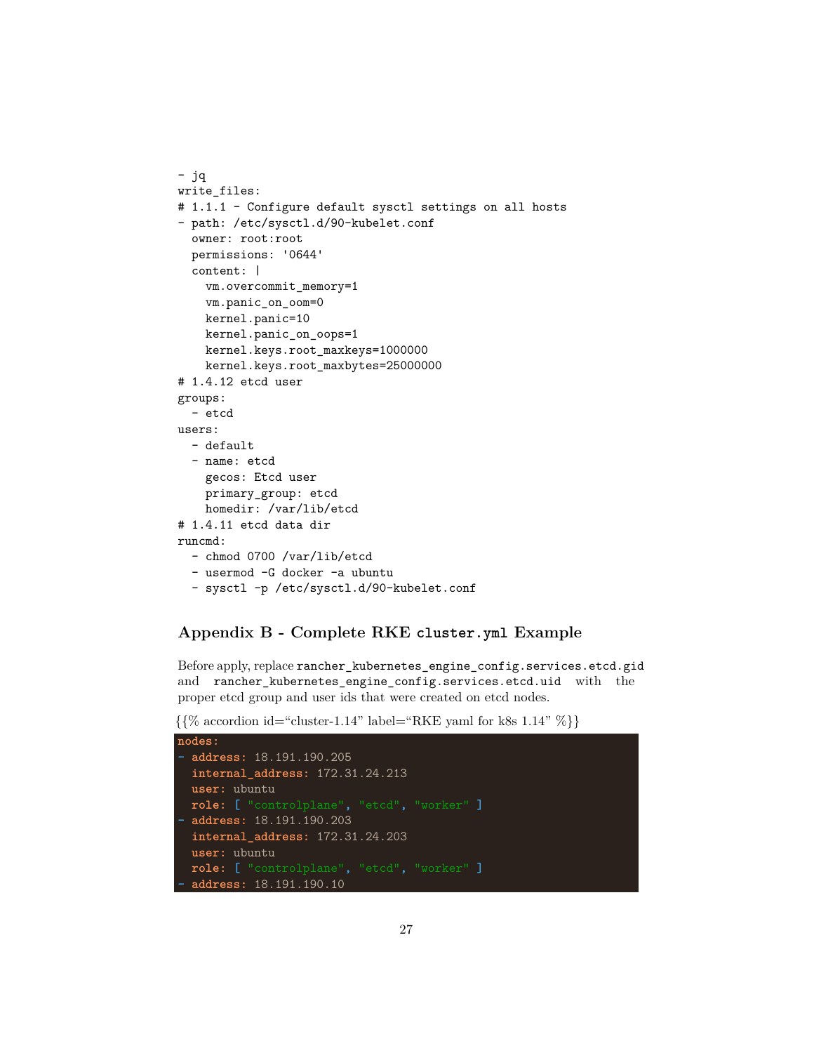```
- jq
write_files:
# 1.1.1 - Configure default sysctl settings on all hosts
- path: /etc/sysctl.d/90-kubelet.conf
  owner: root:root
 permissions: '0644'
  content: |
   vm.overcommit_memory=1
    vm.panic_on_oom=0
   kernel.panic=10
   kernel.panic_on_oops=1
   kernel.keys.root_maxkeys=1000000
   kernel.keys.root_maxbytes=25000000
# 1.4.12 etcd user
groups:
  - etcd
users:
 - default
  - name: etcd
   gecos: Etcd user
   primary_group: etcd
   homedir: /var/lib/etcd
# 1.4.11 etcd data dir
runcmd:
  - chmod 0700 /var/lib/etcd
 - usermod -G docker -a ubuntu
  - sysctl -p /etc/sysctl.d/90-kubelet.conf
```
## <span id="page-26-0"></span>**Appendix B - Complete RKE cluster.yml Example**

Before apply, replace rancher\_kubernetes\_engine\_config.services.etcd.gid and rancher\_kubernetes\_engine\_config.services.etcd.uid with the proper etcd group and user ids that were created on etcd nodes.

 $\{\% \text{ accordion id} = \text{``cluster-1.14'' label} = \text{RKE}\$  and for k8s 1.14"  $\%\}$ 

```
nodes:
- address: 18.191.190.205
  internal_address: 172.31.24.213
  user: ubuntu
  role: [ "controlplane", "etcd", "worker" ]
- address: 18.191.190.203
  internal_address: 172.31.24.203
  user: ubuntu
  role: [ "controlplane", "etcd", "worker" ]
- address: 18.191.190.10
```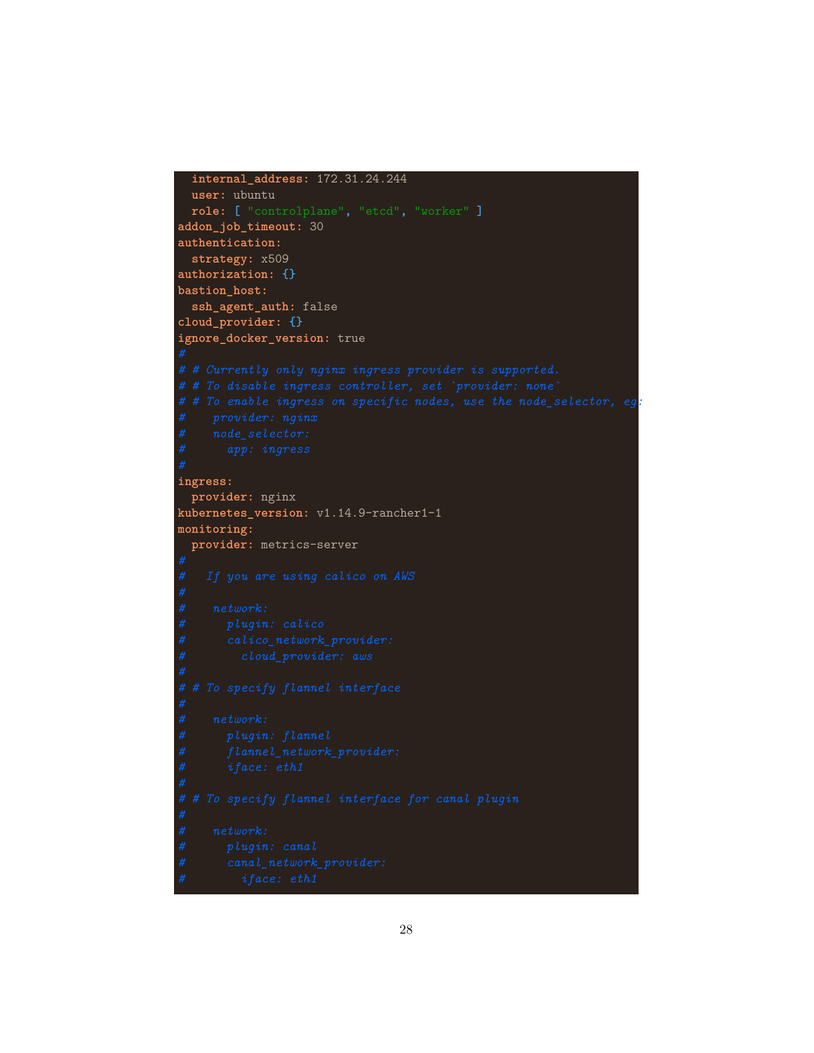```
internal_address: 172.31.24.244
 user: ubuntu
 role: [ "controlplane", "etcd", "worker" ]
addon_job_timeout: 30
authentication:
 strategy: x509
authorization: {}
bastion_host:
 ssh_agent_auth: false
cloud_provider: {}
ignore_docker_version: true
# # To enable ingress on specific nodes, use the node_selector, eg:
ingress:
 provider: nginx
kubernetes_version: v1.14.9-rancher1-1
monitoring:
 provider: metrics-server
```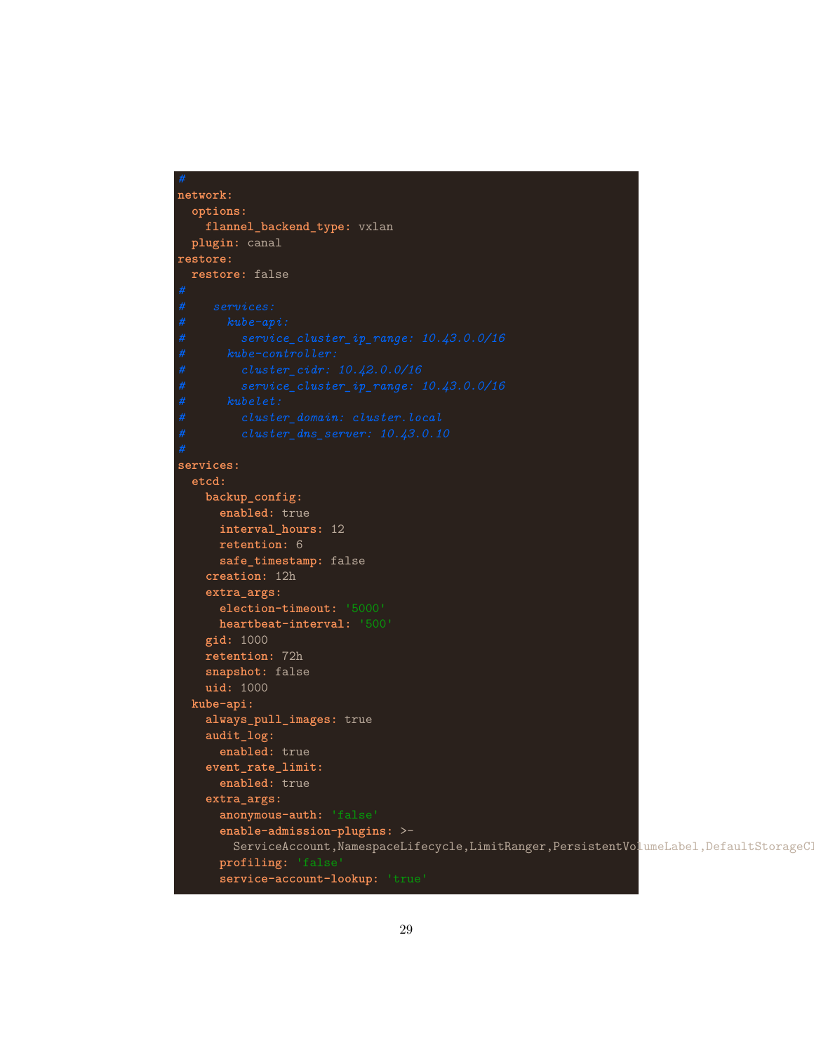```
network:
 options:
    flannel_backend_type: vxlan
 plugin: canal
restore:
 restore: false
services:
 etcd:
   backup_config:
     enabled: true
     interval_hours: 12
     retention: 6
      safe_timestamp: false
    creation: 12h
    extra_args:
      election-timeout: '5000'
      heartbeat-interval: '500'
    gid: 1000
    retention: 72h
    snapshot: false
    uid: 1000
 kube-api:
    always_pull_images: true
    audit_log:
      enabled: true
    event_rate_limit:
      enabled: true
    extra_args:
      anonymous-auth: 'false'
      enable-admission-plugins: >-
        ServiceAccount, NamespaceLifecycle, LimitRanger, PersistentVolumeLabel, DefaultStorageC
      profiling: 'false'
      service-account-lookup: 'true'
```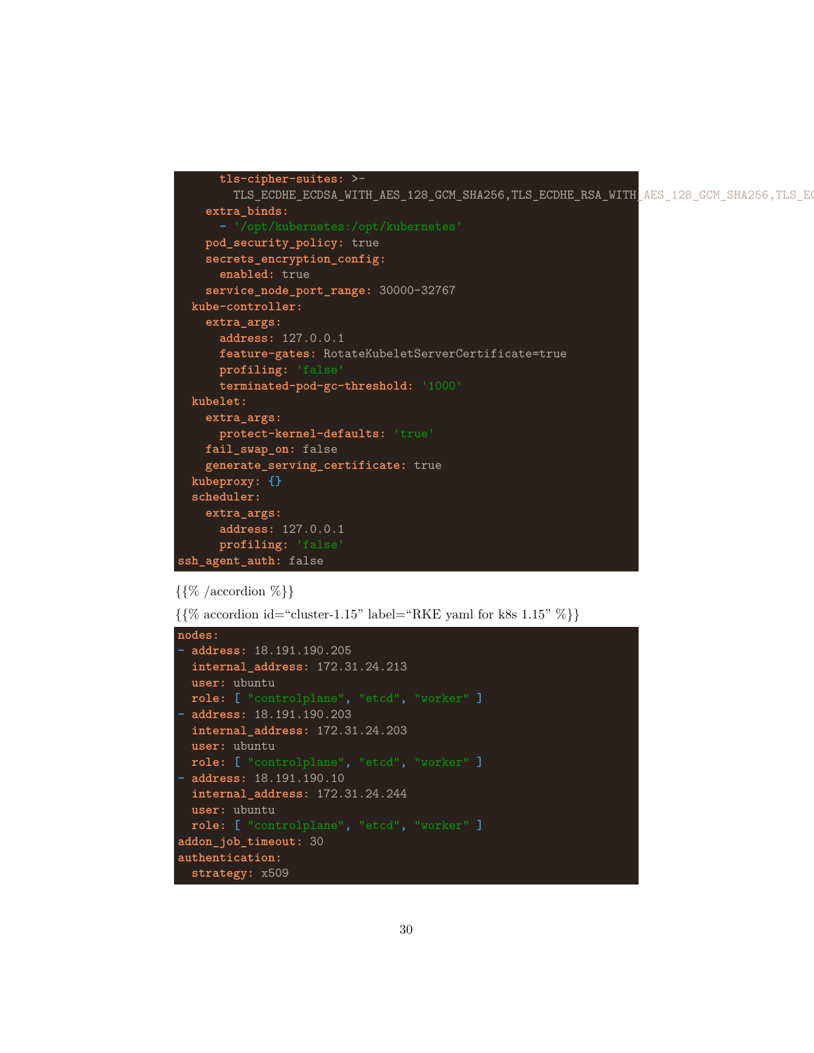```
tls-cipher-suites: >-
       TLS_ECDHE_ECDSA_WITH_AES_128_GCM_SHA256,TLS_ECDHE_RSA_WITH_AES_128_GCM_SHA256,TLS_E
   extra_binds:
   pod_security_policy: true
   secrets_encryption_config:
     enabled: true
   service_node_port_range: 30000-32767
 kube-controller:
   extra_args:
     address: 127.0.0.1
     feature-gates: RotateKubeletServerCertificate=true
     profiling: 'false'
     terminated-pod-gc-threshold: '1000'
 kubelet:
   extra_args:
     protect-kernel-defaults: 'true'
   fail_swap_on: false
   generate_serving_certificate: true
 kubeproxy: {}
 scheduler:
   extra_args:
     address: 127.0.0.1
     profiling: 'false'
ssh_agent_auth: false
```
## $\{\{\%$  /accordion  $\%\}$

```
\{{% accordion id="cluster-1.15" label="RKE; <math>q</math> and for k8s 1.15" % }\}
```

```
nodes:
- address: 18.191.190.205
  internal_address: 172.31.24.213
 user: ubuntu
 role: [ "controlplane", "etcd", "worker" ]
- address: 18.191.190.203
  internal_address: 172.31.24.203
 user: ubuntu
  role: [ "controlplane", "etcd", "worker" ]
- address: 18.191.190.10
  internal_address: 172.31.24.244
 user: ubuntu
  role: [ "controlplane", "etcd", "worker" ]
addon_job_timeout: 30
authentication:
  strategy: x509
```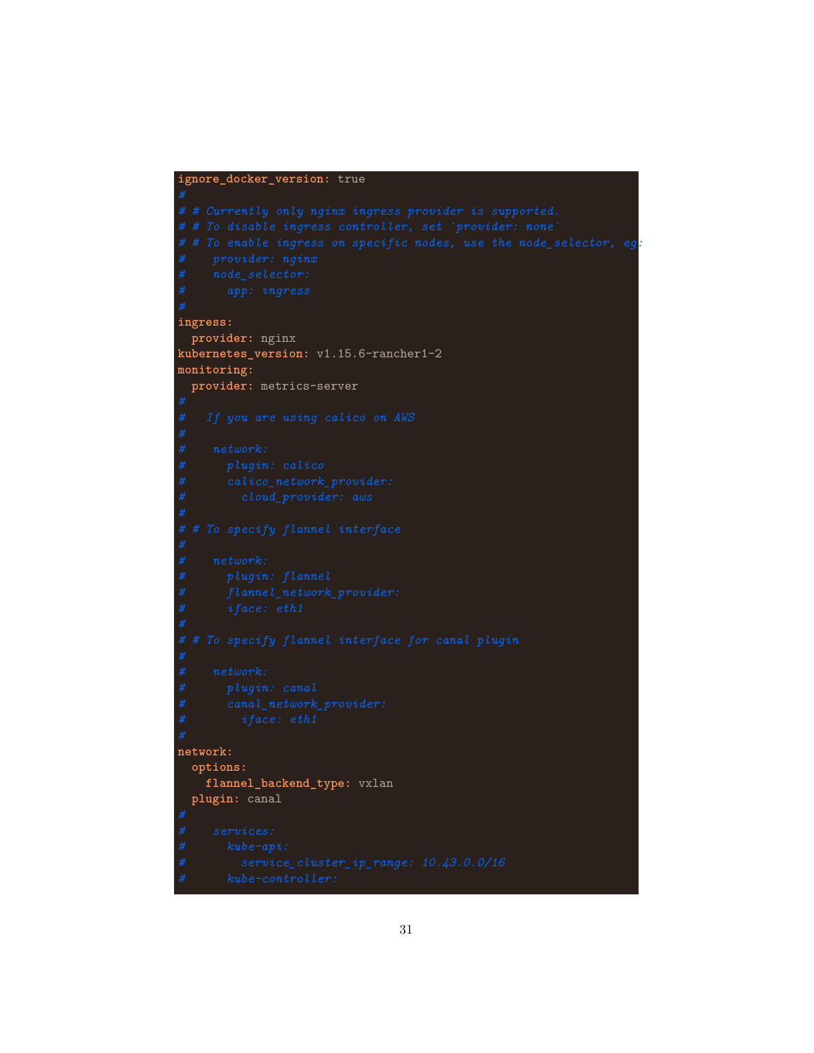#### **ignore\_docker\_version:** true

*# # To enable ingress on specific nodes, use the node\_selector, eg:* **ingress: provider:** nginx **kubernetes\_version:** v1.15.6-rancher1-2 **monitoring: provider:** metrics-server **network: options: flannel\_backend\_type:** vxlan **plugin:** canal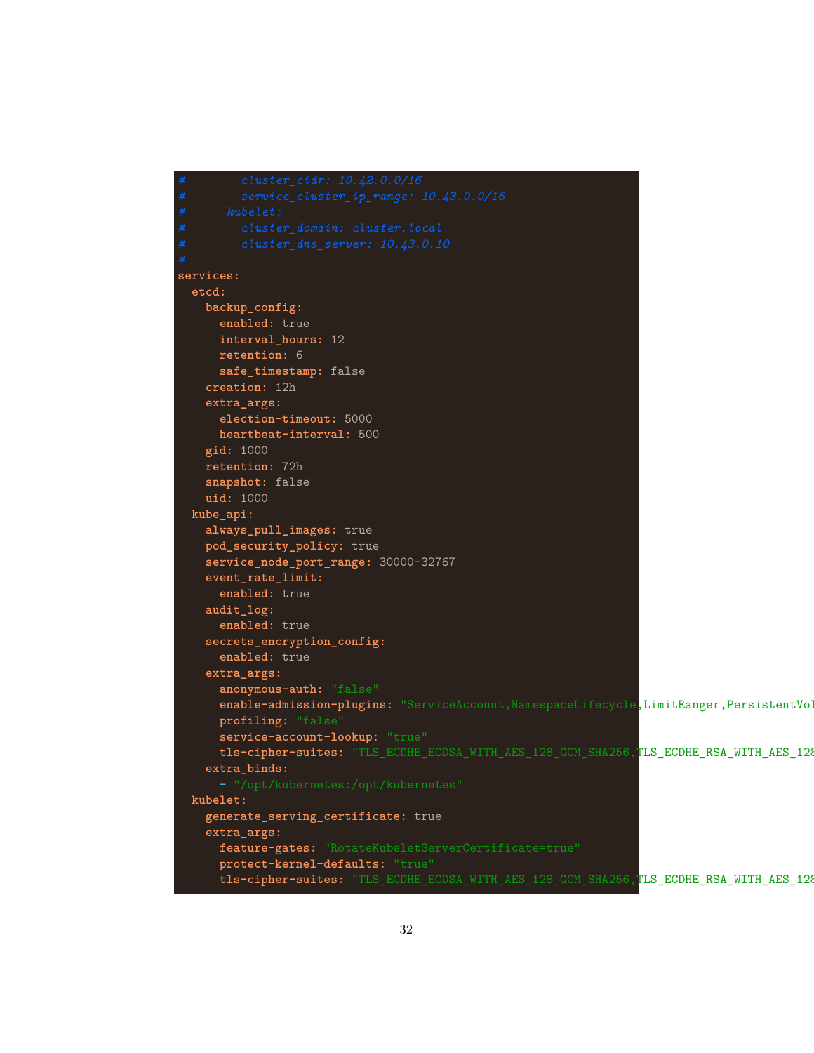```
services:
 etcd:
   backup_config:
     enabled: true
     interval_hours: 12
     retention: 6
     safe_timestamp: false
   creation: 12h
   extra_args:
      election-timeout: 5000
     heartbeat-interval: 500
   gid: 1000
   retention: 72h
   snapshot: false
   uid: 1000
 kube_api:
   always_pull_images: true
   pod_security_policy: true
   service_node_port_range: 30000-32767
   event_rate_limit:
     enabled: true
   audit_log:
     enabled: true
   secrets_encryption_config:
     enabled: true
   extra_args:
     anonymous-auth: "false"
     enable-admission-plugins: "ServiceAccount, NamespaceLifecycle, LimitRanger, PersistentVol
      profiling: "false
     service-account-lookup: "true"
     tls-cipher-suites: "TLS_ECDHE_ECDSA_WITH_AES_128_GCM_SHA256,TLS_ECDHE_RSA_WITH_AES_128
    extra_binds:
 kubelet:
   generate_serving_certificate: true
   extra_args:
     feature-gates: "RotateKubeletServerCertificate=true"
     protect-kernel-defaults: "true"
      tls-cipher-suites: "TLS_ECDHE_ECDSA_WITH_AES_128_GCM_SHA256, TLS_ECDHE_RSA_WITH_AES_128
```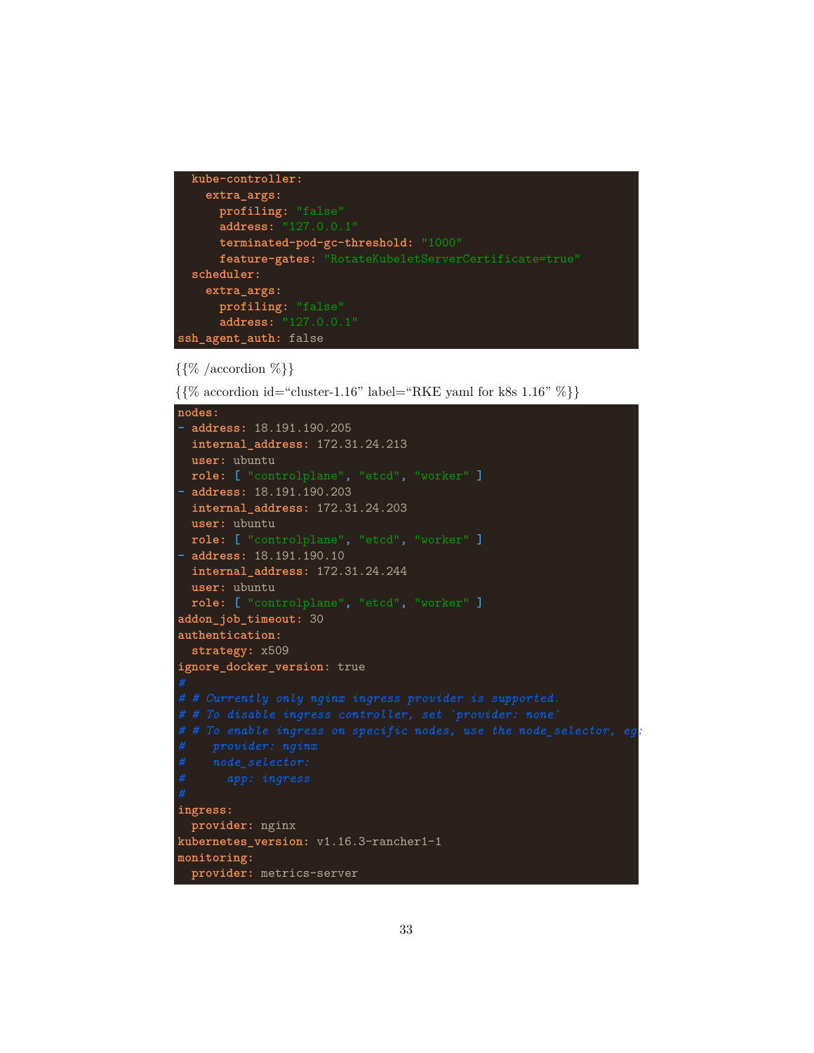```
kube-controller:
   extra_args:
     profiling: "false"
     address: "127.0.0.1"
     terminated-pod-gc-threshold: "1000"
     feature-gates: "RotateKubeletServerCertificate=true"
 scheduler:
   extra_args:
     profiling: "false"
     address: "127.0.0.1"
ssh_agent_auth: false
```
## $\{\{\%$  /accordion  $\%\}$

 $\{\% \text{ accordion id} = \text{``cluster-1.16'' label} = \text{RKE}\$  and for k8s 1.16"  $\%\}$ 

```
nodes:
- address: 18.191.190.205
 internal_address: 172.31.24.213
 user: ubuntu
 role: [ "controlplane", "etcd", "worker" ]
- address: 18.191.190.203
 internal_address: 172.31.24.203
 user: ubuntu
 role: [ "controlplane", "etcd", "worker" ]
- address: 18.191.190.10
 internal_address: 172.31.24.244
 user: ubuntu
 role: [ "controlplane", "etcd", "worker" ]
addon_job_timeout: 30
authentication:
 strategy: x509
ignore_docker_version: true
# # To enable ingress on specific nodes, use the node_selector, eg:
ingress:
 provider: nginx
kubernetes_version: v1.16.3-rancher1-1
monitoring:
 provider: metrics-server
```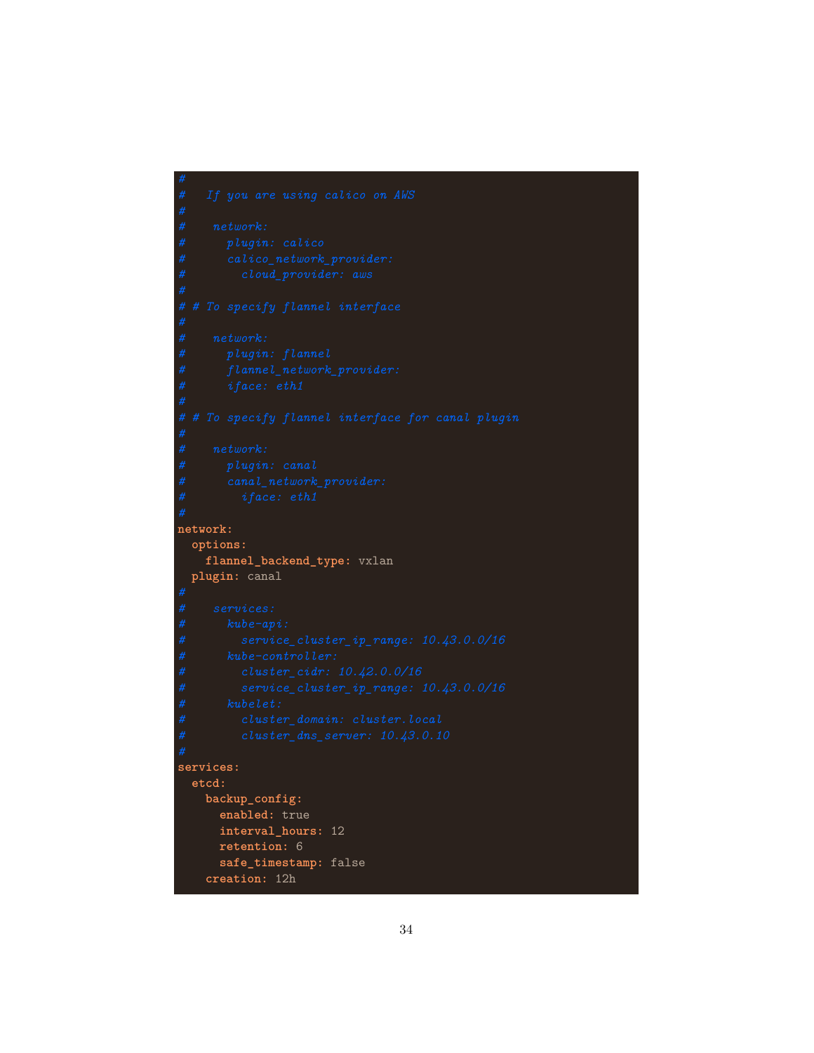```
network:
 options:
    flannel_backend_type: vxlan
 plugin: canal
services:
 etcd:
   backup_config:
      enabled: true
      interval_hours: 12
     retention: 6
      safe_timestamp: false
    creation: 12h
```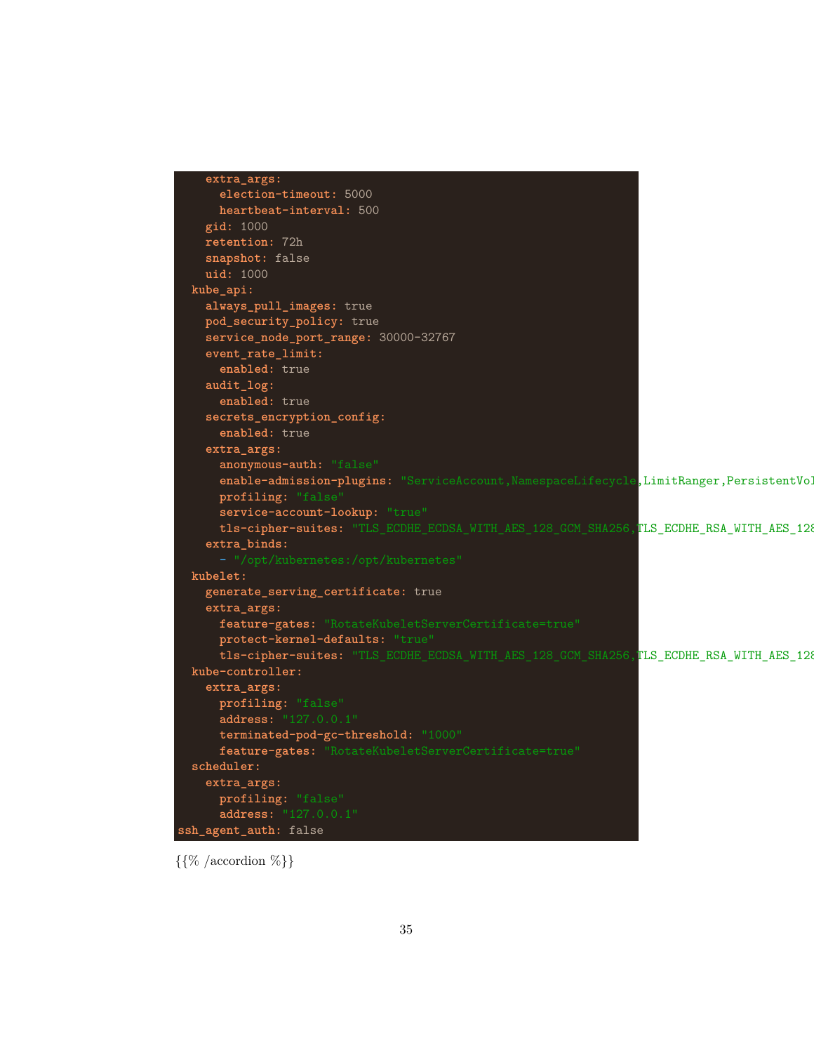```
extra_args:
     election-timeout: 5000
     heartbeat-interval: 500
   gid: 1000
   retention: 72h
   snapshot: false
   uid: 1000
 kube_api:
   always_pull_images: true
   pod_security_policy: true
   service_node_port_range: 30000-32767
   event_rate_limit:
     enabled: true
   audit_log:
     enabled: true
   secrets_encryption_config:
     enabled: true
   extra_args:
     anonymous-auth: "false"
     enable-admission-plugins: "ServiceAccount, NamespaceLifecycle, LimitRanger, PersistentVol
     profiling: "false
     service-account-lookup: "true"
     tls-cipher-suites: "TLS_ECDHE_ECDSA_WITH_AES_128_GCM_SHA256, TLS_ECDHE_RSA_WITH_AES_128
   extra_binds:
 kubelet:
   generate_serving_certificate: true
   extra_args:
     feature-gates: "RotateKubeletServerCertificate=true"
     protect-kernel-defaults: "true"
     tls-cipher-suites: "TLS_ECDHE_ECDSA_WITH_AES_128_GCM_SHA256,TLS_ECDHE_RSA_WITH_AES_128
 kube-controller:
   extra_args:
     profiling: "false"
     address: "127.0.0.1"
     terminated-pod-gc-threshold: "1000"
     feature-gates: "RotateKubeletServerCertificate=true"
 scheduler:
   extra_args:
     profiling: "false"
     address: "127.0.0.1"
ssh_agent_auth: false
```
 $\{\{\%$  /accordion  $\%\}$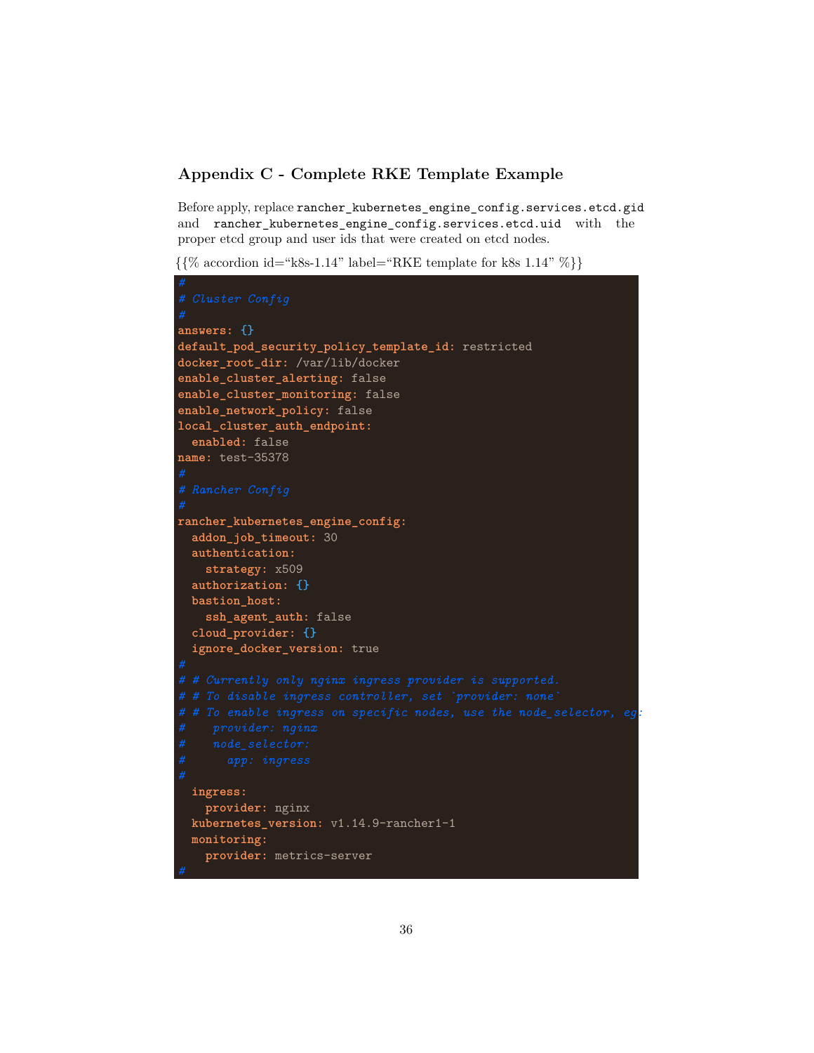## <span id="page-35-0"></span>**Appendix C - Complete RKE Template Example**

Before apply, replace rancher\_kubernetes\_engine\_config.services.etcd.gid and rancher\_kubernetes\_engine\_config.services.etcd.uid with the proper etcd group and user ids that were created on etcd nodes.

 $\{\%$  accordion id="k8s-1.14" label="RKE template for k8s 1.14"  $\%\}$ 

```
answers: {}
default_pod_security_policy_template_id: restricted
docker_root_dir: /var/lib/docker
enable_cluster_alerting: false
enable_cluster_monitoring: false
enable_network_policy: false
local_cluster_auth_endpoint:
 enabled: false
name: test-35378
rancher_kubernetes_engine_config:
 addon_job_timeout: 30
 authentication:
   strategy: x509
 authorization: {}
 bastion_host:
    ssh_agent_auth: false
 cloud_provider: {}
  ignore_docker_version: true
# # To enable ingress on specific nodes, use the node_selector, eg:
 ingress:
   provider: nginx
 kubernetes_version: v1.14.9-rancher1-1
 monitoring:
   provider: metrics-server
```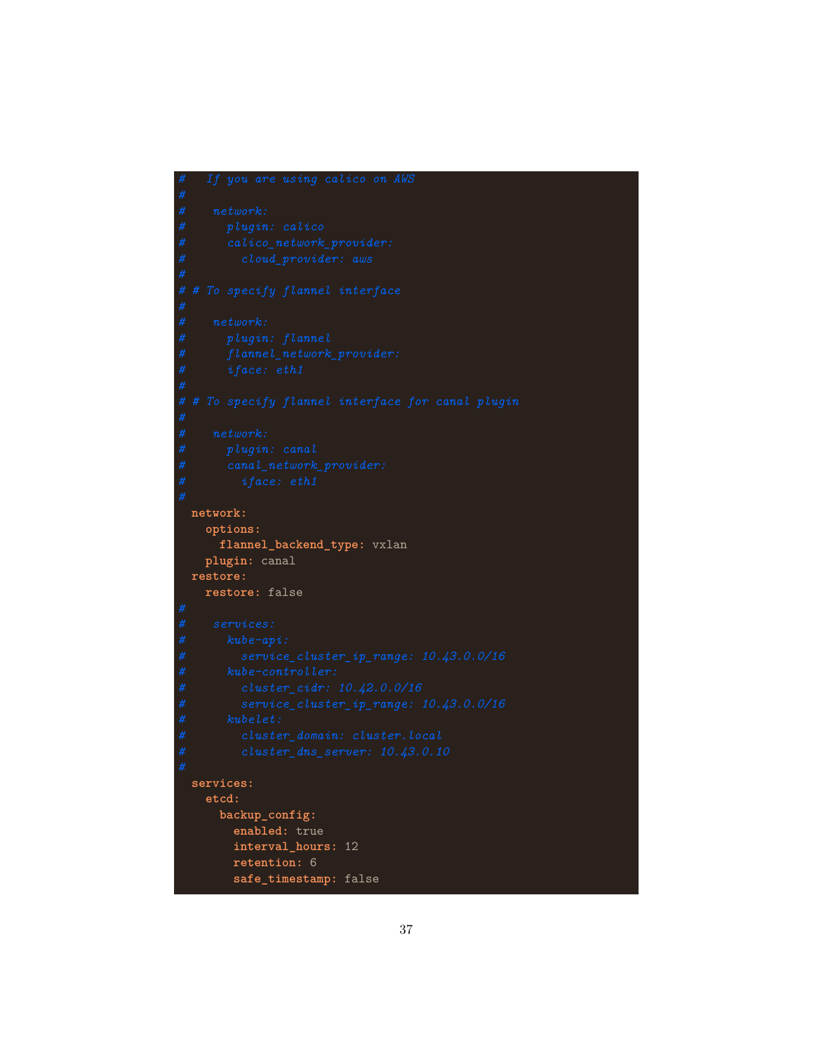```
network:
  options:
    flannel_backend_type: vxlan
  plugin: canal
restore:
  restore: false
services:
  etcd:
    backup_config:
      enabled: true
      interval_hours: 12
      retention: 6
      safe_timestamp: false
```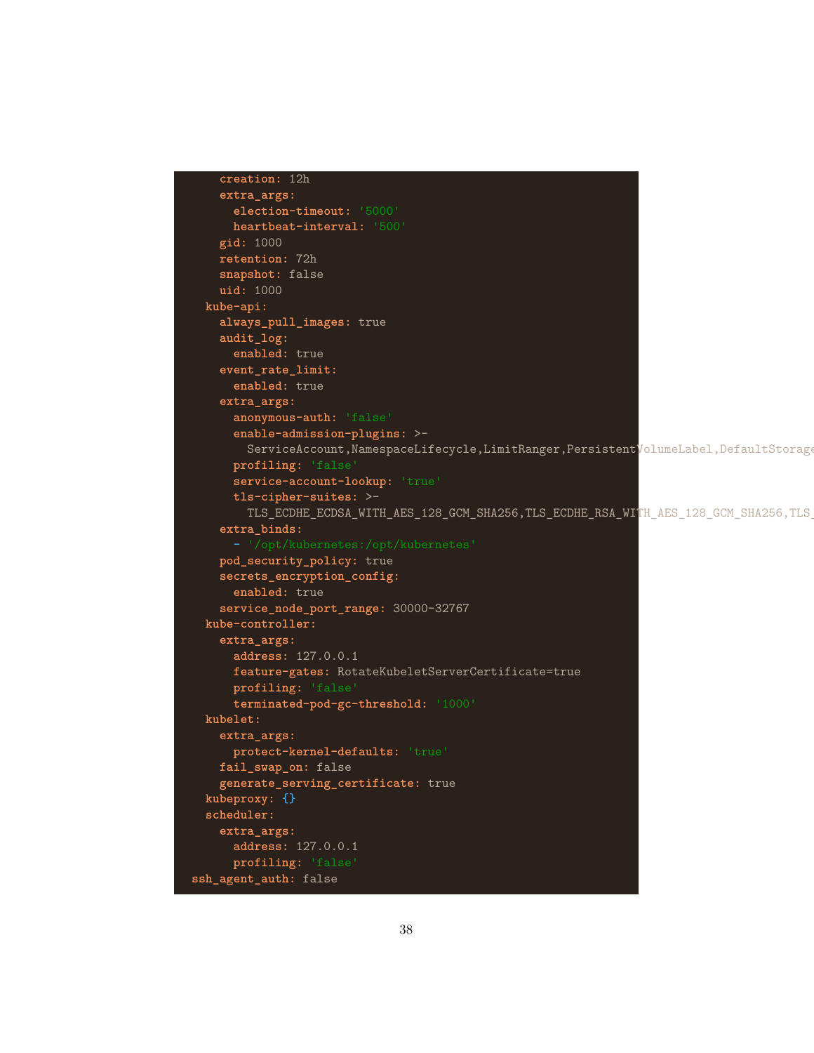```
creation: 12h
    extra_args:
      election-timeout: '5000'
      heartbeat-interval: '500'
    gid: 1000
    retention: 72h
    snapshot: false
    uid: 1000
  kube-api:
    always_pull_images: true
    audit_log:
      enabled: true
    event_rate_limit:
      enabled: true
    extra_args:
      anonymous-auth: 'false'
      enable-admission-plugins: >-
        ServiceAccount, NamespaceLifecycle, LimitRanger, PersistentVolumeLabel, DefaultStorage
      profiling: 'false'
      service-account-lookup: 'true'
      tls-cipher-suites: >-
        TLS_ECDHE_ECDSA_WITH_AES_128_GCM_SHA256, TLS_ECDHE_RSA_WITH_AES_128_GCM_SHA256, TLS
    extra_binds:
    pod_security_policy: true
    secrets_encryption_config:
      enabled: true
    service_node_port_range: 30000-32767
  kube-controller:
    extra_args:
      address: 127.0.0.1
      feature-gates: RotateKubeletServerCertificate=true
      profiling: 'false'
      terminated-pod-gc-threshold: '1000'
 kubelet:
    extra_args:
      protect-kernel-defaults: 'true'
    fail_swap_on: false
    generate_serving_certificate: true
 kubeproxy: {}
 scheduler:
    extra_args:
      address: 127.0.0.1
      profiling: 'false'
ssh_agent_auth: false
```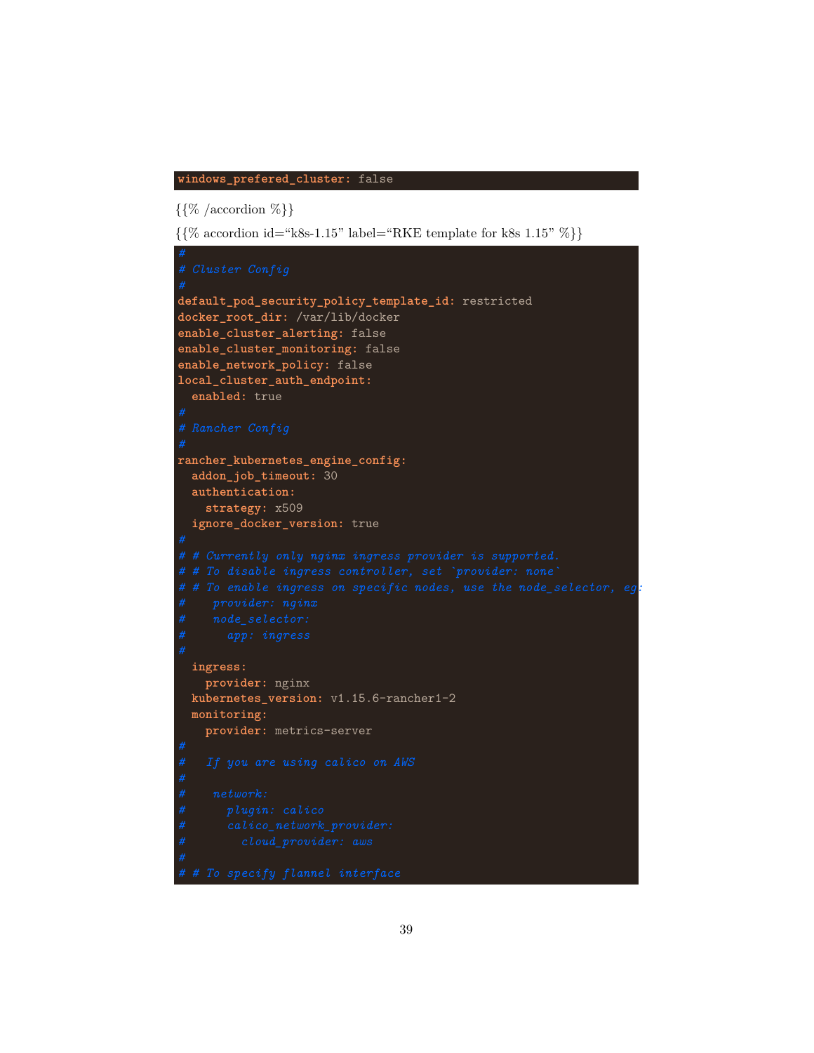#### **windows\_prefered\_cluster:** false

 $\{\{\%$  /accordion  $\%\}$ 

 $\{$ {% accordion id="k8s-1.15" label="RKE template for k8s 1.15" % }\

```
default_pod_security_policy_template_id: restricted
docker_root_dir: /var/lib/docker
enable_cluster_alerting: false
enable_cluster_monitoring: false
enable_network_policy: false
local_cluster_auth_endpoint:
 enabled: true
rancher_kubernetes_engine_config:
 addon_job_timeout: 30
 authentication:
   strategy: x509
 ignore_docker_version: true
# # To enable ingress on specific nodes, use the node_selector, eg:
 ingress:
   provider: nginx
 kubernetes_version: v1.15.6-rancher1-2
 monitoring:
   provider: metrics-server
```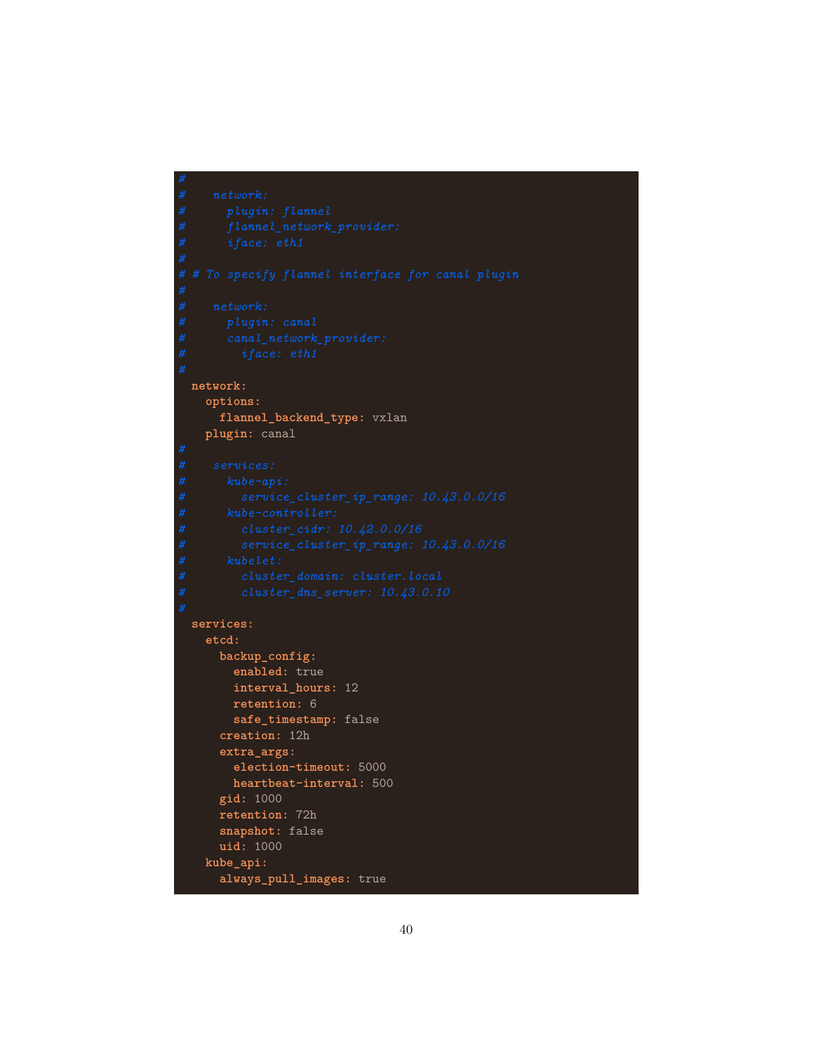```
network:
  options:
    flannel_backend_type: vxlan
  plugin: canal
services:
  etcd:
   backup_config:
      enabled: true
      interval_hours: 12
      retention: 6
      safe_timestamp: false
    creation: 12h
    extra_args:
      election-timeout: 5000
      heartbeat-interval: 500
    gid: 1000
    retention: 72h
    snapshot: false
    uid: 1000
  kube_api:
    always_pull_images: true
```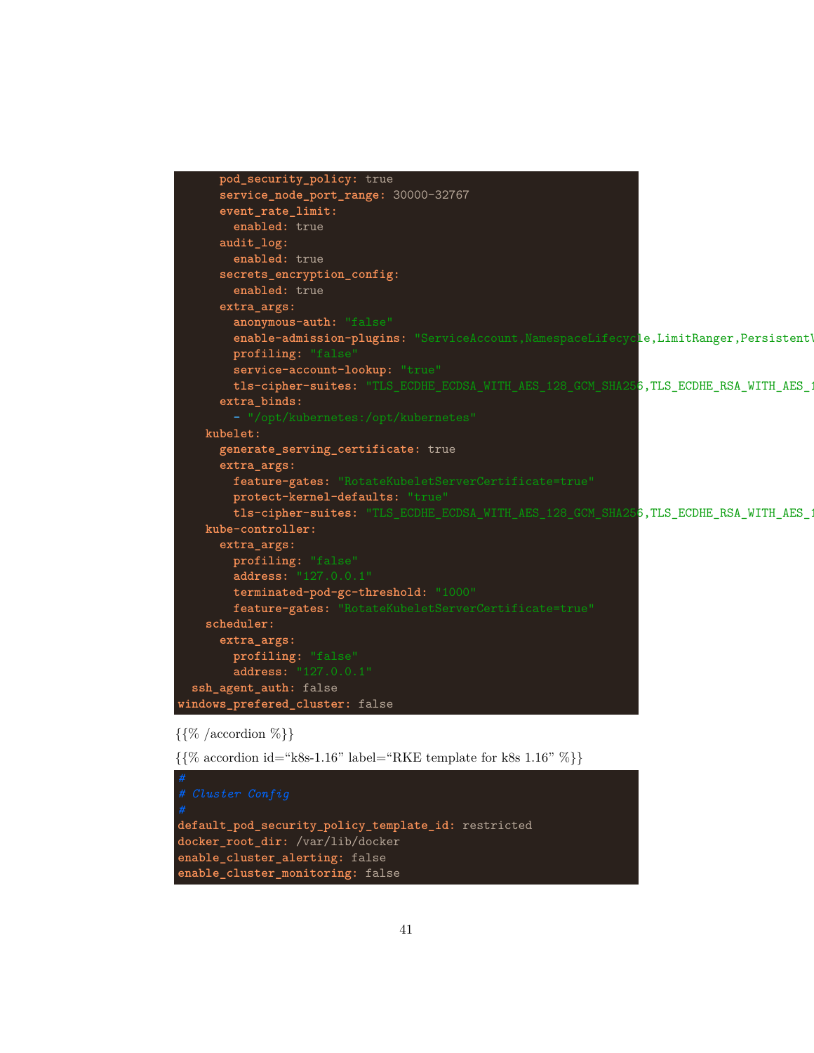```
pod_security_policy: true
      service_node_port_range: 30000-32767
     event_rate_limit:
       enabled: true
     audit_log:
       enabled: true
     secrets_encryption_config:
       enabled: true
     extra_args:
       anonymous-auth: "false"
       enable-admission-plugins: "ServiceAccount, NamespaceLifecycle, LimitRanger, Persistent
       profiling: "false
       service-account-lookup: "true"
       tls-cipher-suites: "TLS_ECDHE_ECDSA_WITH_AES_128_GCM_SHA256,TLS_ECDHE_RSA_WITH_AES_:
     extra_binds:
   kubelet:
     generate_serving_certificate: true
     extra_args:
       feature-gates: "RotateKubeletServerCertificate=true"
       protect-kernel-defaults: "true"
       tls-cipher-suites: "TLS_ECDHE_ECDSA_WITH_AES_128_GCM_SHA256,TLS_ECDHE_RSA_WITH_AES_1
   kube-controller:
     extra_args:
       profiling: "false"
       address: "127.0.0.1"
       terminated-pod-gc-threshold: "1000"
       feature-gates: "RotateKubeletServerCertificate=true"
   scheduler:
     extra_args:
       profiling: "false"
       address: "127.0.0.1"
 ssh_agent_auth: false
windows_prefered_cluster: false
```
## $\{\{\%$  /accordion  $\%\}$

 $\{\% \text{ accordion id} = "k8s-1.16" \text{ label} = "RKE \text{ template for } k8s \text{ 1.16" } \% \}$ 

```
default_pod_security_policy_template_id: restricted
docker_root_dir: /var/lib/docker
enable_cluster_alerting: false
enable_cluster_monitoring: false
```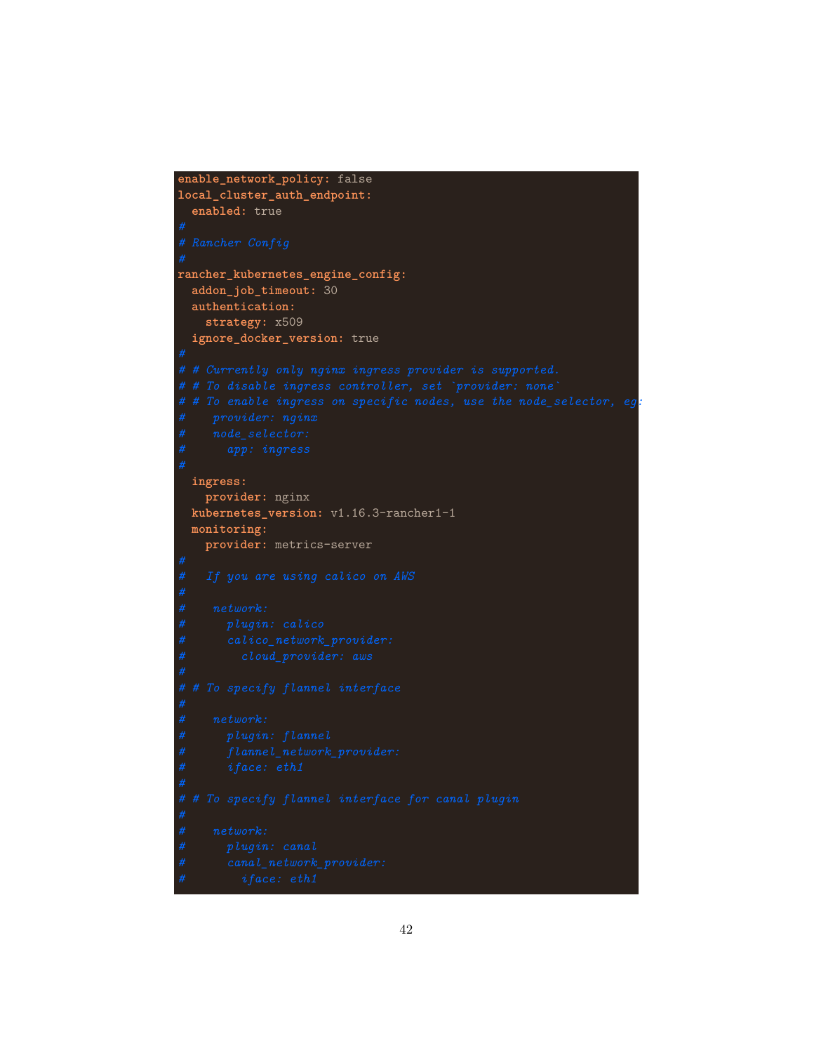```
enable_network_policy: false
local_cluster_auth_endpoint:
 enabled: true
rancher_kubernetes_engine_config:
addon_job_timeout: 30
 authentication:
    strategy: x509
 ignore_docker_version: true
# # To enable ingress on specific nodes, use the node_selector, eg:
 ingress:
   provider: nginx
 kubernetes_version: v1.16.3-rancher1-1
 monitoring:
   provider: metrics-server
```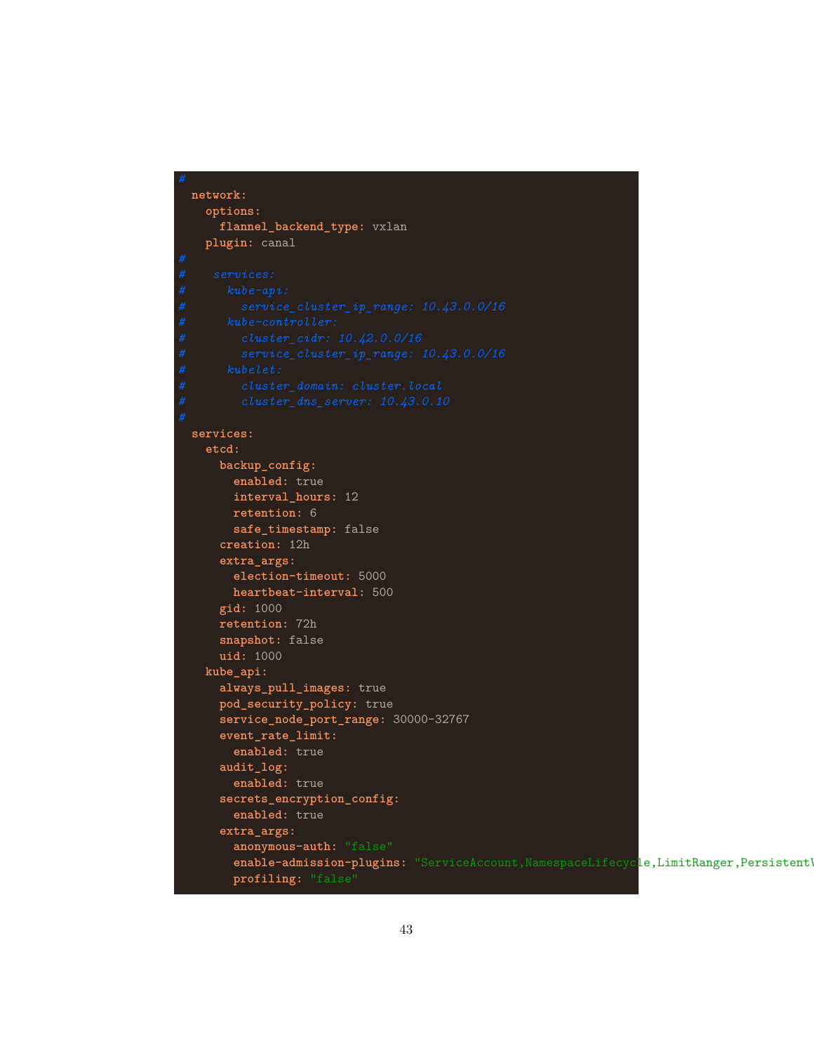```
network:
  options:
    flannel_backend_type: vxlan
  plugin: canal
services:
  etcd:
   backup_config:
      enabled: true
      interval_hours: 12
      retention: 6
      safe_timestamp: false
    creation: 12h
    extra_args:
      election-timeout: 5000
      heartbeat-interval: 500
    gid: 1000
    retention: 72h
    snapshot: false
    uid: 1000
  kube_api:
    always_pull_images: true
   pod_security_policy: true
    service_node_port_range: 30000-32767
    event_rate_limit:
      enabled: true
    audit_log:
      enabled: true
    secrets_encryption_config:
      enabled: true
    extra_args:
      anonymous-auth: "false"
      enable-admission-plugins: "ServiceAccount, NamespaceLifecycle, LimitRanger, Persistent'
      profiling: "false"
```